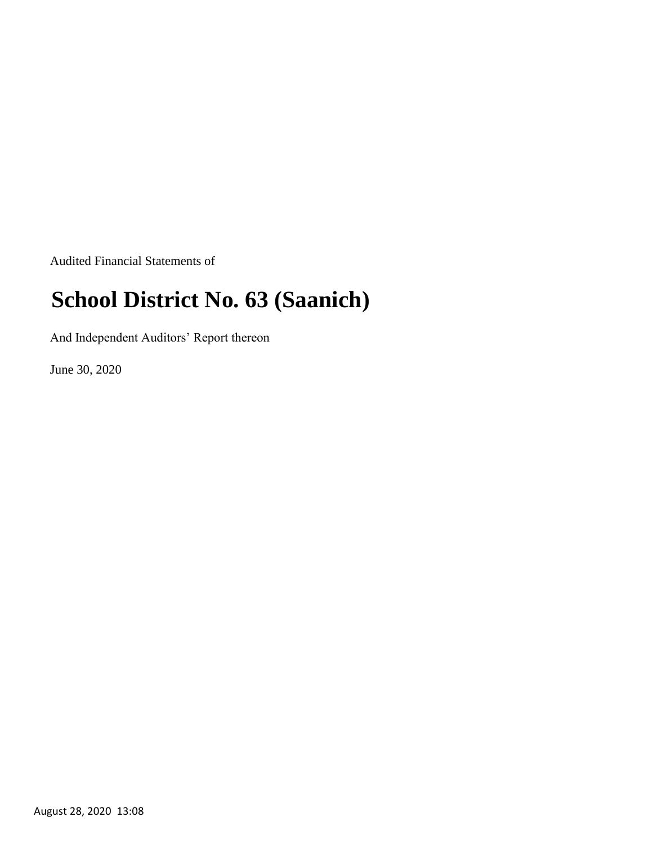Audited Financial Statements of

# **School District No. 63 (Saanich)**

And Independent Auditors' Report thereon

June 30, 2020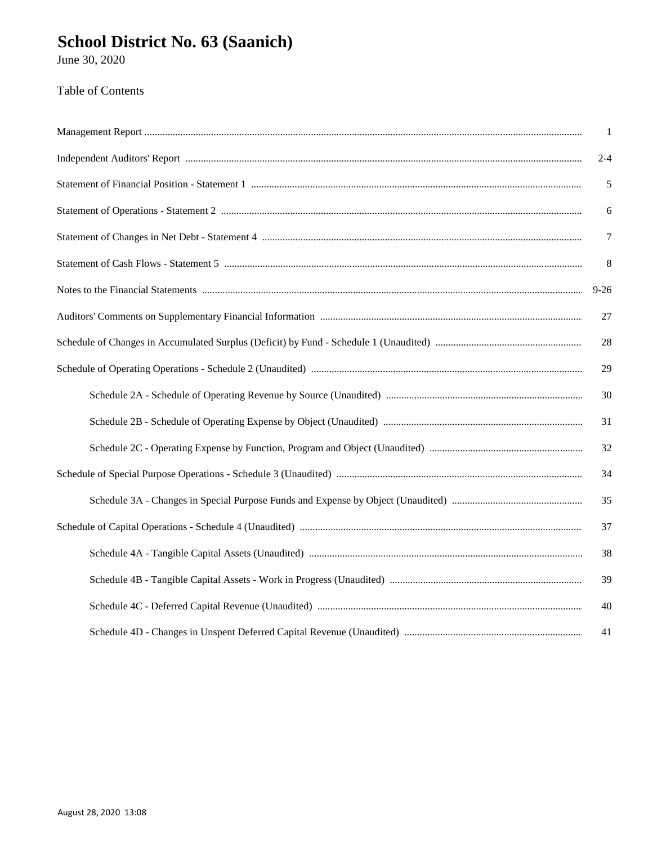June 30, 2020

#### Table of Contents

| $\overline{1}$   |
|------------------|
| $2 - 4$          |
| $\mathfrak{S}$   |
| 6                |
| $\boldsymbol{7}$ |
| 8                |
| $9 - 26$         |
| $27\,$           |
| 28               |
| 29               |
| 30               |
| 31               |
| 32               |
| 34               |
| 35               |
| 37               |
| 38               |
| 39               |
| 40               |
| 41               |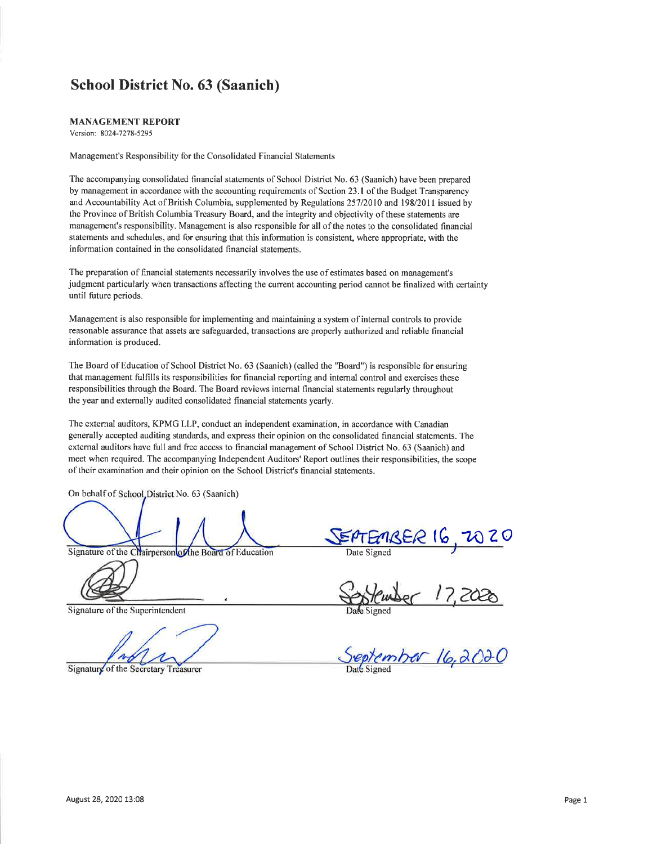**MANAGEMENT REPORT** 

Version: 8024-7278-5295

Management's Responsibility for the Consolidated Financial Statements

The accompanying consolidated financial statements of School District No. 63 (Saanich) have been prepared by management in accordance with the accounting requirements of Section 23.1 of the Budget Transparency and Accountability Act of British Columbia, supplemented by Regulations 257/2010 and 198/2011 issued by the Province of British Columbia Treasury Board, and the integrity and objectivity of these statements are management's responsibility. Management is also responsible for all of the notes to the consolidated financial statements and schedules, and for ensuring that this information is consistent, where appropriate, with the information contained in the consolidated financial statements.

The preparation of financial statements necessarily involves the use of estimates based on management's judgment particularly when transactions affecting the current accounting period cannot be finalized with certainty until future periods.

Management is also responsible for implementing and maintaining a system of internal controls to provide reasonable assurance that assets are safeguarded, transactions are properly authorized and reliable financial information is produced.

The Board of Education of School District No. 63 (Saanich) (called the "Board") is responsible for ensuring that management fulfills its responsibilities for financial reporting and internal control and exercises these responsibilities through the Board. The Board reviews internal financial statements regularly throughout the year and externally audited consolidated financial statements yearly.

The external auditors, KPMG LLP, conduct an independent examination, in accordance with Canadian generally accepted auditing standards, and express their opinion on the consolidated financial statements. The external auditors have full and free access to financial management of School District No. 63 (Saanich) and meet when required. The accompanying Independent Auditors' Report outlines their responsibilities, the scope of their examination and their opinion on the School District's financial statements.

On behalf of School, District No. 63 (Saanich)

Signature of the Chairperson of the Board of Education

Signature of the Superintendent

Signature of the Secretary Treasurer

FMBER 16, 7020

 $mbar16,2020$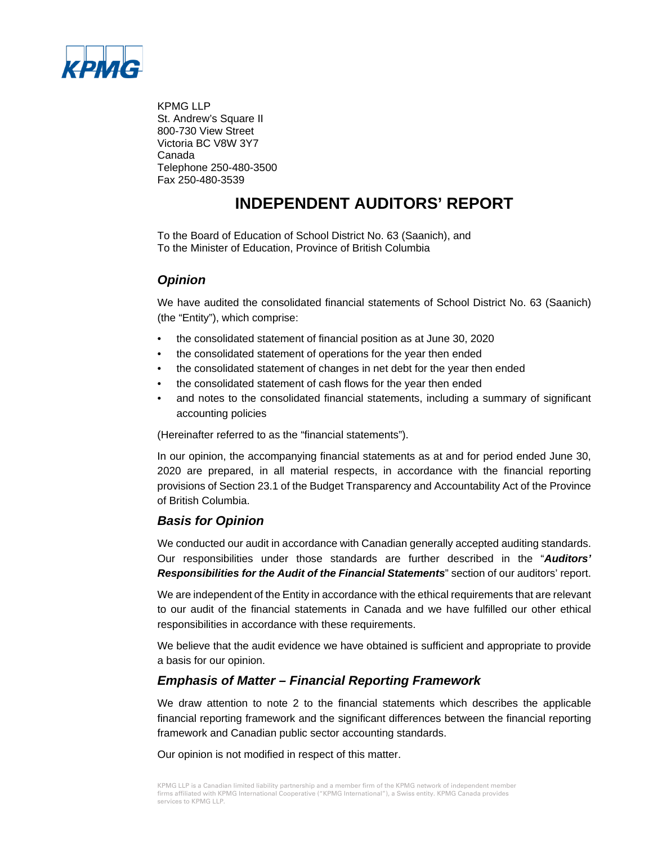

KPMG LLP St. Andrew's Square II 800-730 View Street Victoria BC V8W 3Y7 Canada Telephone 250-480-3500 Fax 250-480-3539

### **INDEPENDENT AUDITORS' REPORT**

To the Board of Education of School District No. 63 (Saanich), and To the Minister of Education, Province of British Columbia

#### *Opinion*

We have audited the consolidated financial statements of School District No. 63 (Saanich) (the "Entity"), which comprise:

- the consolidated statement of financial position as at June 30, 2020
- the consolidated statement of operations for the year then ended
- the consolidated statement of changes in net debt for the year then ended
- the consolidated statement of cash flows for the year then ended
- and notes to the consolidated financial statements, including a summary of significant accounting policies

(Hereinafter referred to as the "financial statements").

In our opinion, the accompanying financial statements as at and for period ended June 30, 2020 are prepared, in all material respects, in accordance with the financial reporting provisions of Section 23.1 of the Budget Transparency and Accountability Act of the Province of British Columbia.

#### *Basis for Opinion*

We conducted our audit in accordance with Canadian generally accepted auditing standards. Our responsibilities under those standards are further described in the "*Auditors' Responsibilities for the Audit of the Financial Statements*" section of our auditors' report.

We are independent of the Entity in accordance with the ethical requirements that are relevant to our audit of the financial statements in Canada and we have fulfilled our other ethical responsibilities in accordance with these requirements.

We believe that the audit evidence we have obtained is sufficient and appropriate to provide a basis for our opinion.

#### *Emphasis of Matter – Financial Reporting Framework*

We draw attention to note 2 to the financial statements which describes the applicable financial reporting framework and the significant differences between the financial reporting framework and Canadian public sector accounting standards.

Our opinion is not modified in respect of this matter.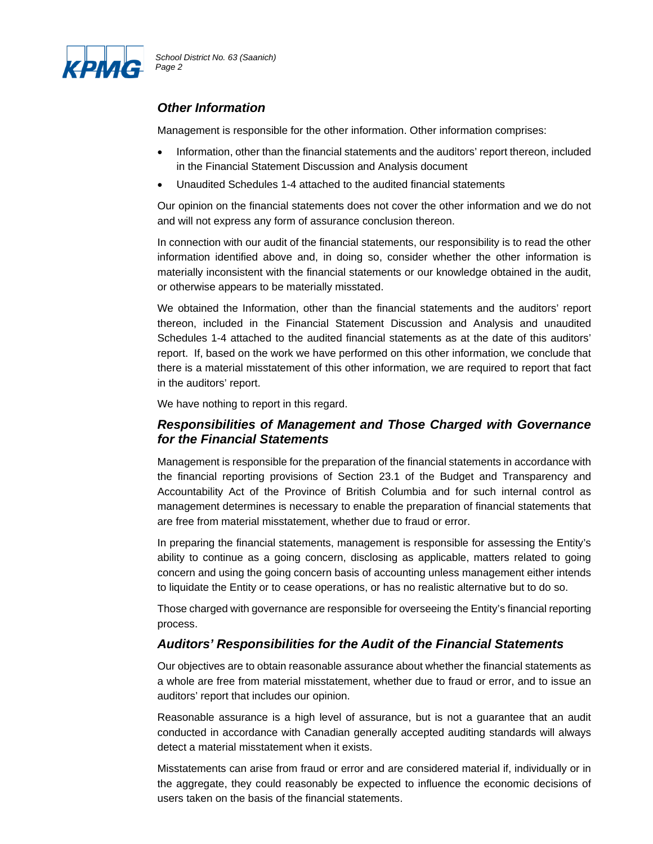

#### *Other Information*

Management is responsible for the other information. Other information comprises:

- Information, other than the financial statements and the auditors' report thereon, included in the Financial Statement Discussion and Analysis document
- Unaudited Schedules 1-4 attached to the audited financial statements

Our opinion on the financial statements does not cover the other information and we do not and will not express any form of assurance conclusion thereon.

In connection with our audit of the financial statements, our responsibility is to read the other information identified above and, in doing so, consider whether the other information is materially inconsistent with the financial statements or our knowledge obtained in the audit, or otherwise appears to be materially misstated.

We obtained the Information, other than the financial statements and the auditors' report thereon, included in the Financial Statement Discussion and Analysis and unaudited Schedules 1-4 attached to the audited financial statements as at the date of this auditors' report. If, based on the work we have performed on this other information, we conclude that there is a material misstatement of this other information, we are required to report that fact in the auditors' report.

We have nothing to report in this regard.

#### *Responsibilities of Management and Those Charged with Governance for the Financial Statements*

Management is responsible for the preparation of the financial statements in accordance with the financial reporting provisions of Section 23.1 of the Budget and Transparency and Accountability Act of the Province of British Columbia and for such internal control as management determines is necessary to enable the preparation of financial statements that are free from material misstatement, whether due to fraud or error.

In preparing the financial statements, management is responsible for assessing the Entity's ability to continue as a going concern, disclosing as applicable, matters related to going concern and using the going concern basis of accounting unless management either intends to liquidate the Entity or to cease operations, or has no realistic alternative but to do so.

Those charged with governance are responsible for overseeing the Entity's financial reporting process.

#### *Auditors' Responsibilities for the Audit of the Financial Statements*

Our objectives are to obtain reasonable assurance about whether the financial statements as a whole are free from material misstatement, whether due to fraud or error, and to issue an auditors' report that includes our opinion.

Reasonable assurance is a high level of assurance, but is not a guarantee that an audit conducted in accordance with Canadian generally accepted auditing standards will always detect a material misstatement when it exists.

Misstatements can arise from fraud or error and are considered material if, individually or in the aggregate, they could reasonably be expected to influence the economic decisions of users taken on the basis of the financial statements.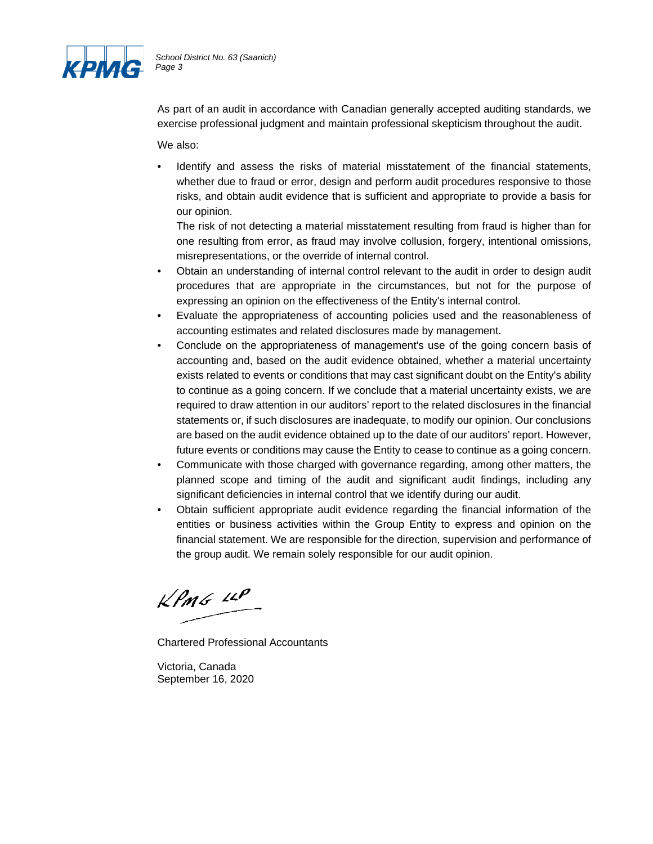

As part of an audit in accordance with Canadian generally accepted auditing standards, we exercise professional judgment and maintain professional skepticism throughout the audit.

We also:

• Identify and assess the risks of material misstatement of the financial statements, whether due to fraud or error, design and perform audit procedures responsive to those risks, and obtain audit evidence that is sufficient and appropriate to provide a basis for our opinion.

The risk of not detecting a material misstatement resulting from fraud is higher than for one resulting from error, as fraud may involve collusion, forgery, intentional omissions, misrepresentations, or the override of internal control.

- Obtain an understanding of internal control relevant to the audit in order to design audit procedures that are appropriate in the circumstances, but not for the purpose of expressing an opinion on the effectiveness of the Entity's internal control.
- Evaluate the appropriateness of accounting policies used and the reasonableness of accounting estimates and related disclosures made by management.
- Conclude on the appropriateness of management's use of the going concern basis of accounting and, based on the audit evidence obtained, whether a material uncertainty exists related to events or conditions that may cast significant doubt on the Entity's ability to continue as a going concern. If we conclude that a material uncertainty exists, we are required to draw attention in our auditors' report to the related disclosures in the financial statements or, if such disclosures are inadequate, to modify our opinion. Our conclusions are based on the audit evidence obtained up to the date of our auditors' report. However, future events or conditions may cause the Entity to cease to continue as a going concern.
- Communicate with those charged with governance regarding, among other matters, the planned scope and timing of the audit and significant audit findings, including any significant deficiencies in internal control that we identify during our audit.
- Obtain sufficient appropriate audit evidence regarding the financial information of the entities or business activities within the Group Entity to express and opinion on the financial statement. We are responsible for the direction, supervision and performance of the group audit. We remain solely responsible for our audit opinion.

 $k$ *PMG*  $\mu$ 

Chartered Professional Accountants

Victoria, Canada September 16, 2020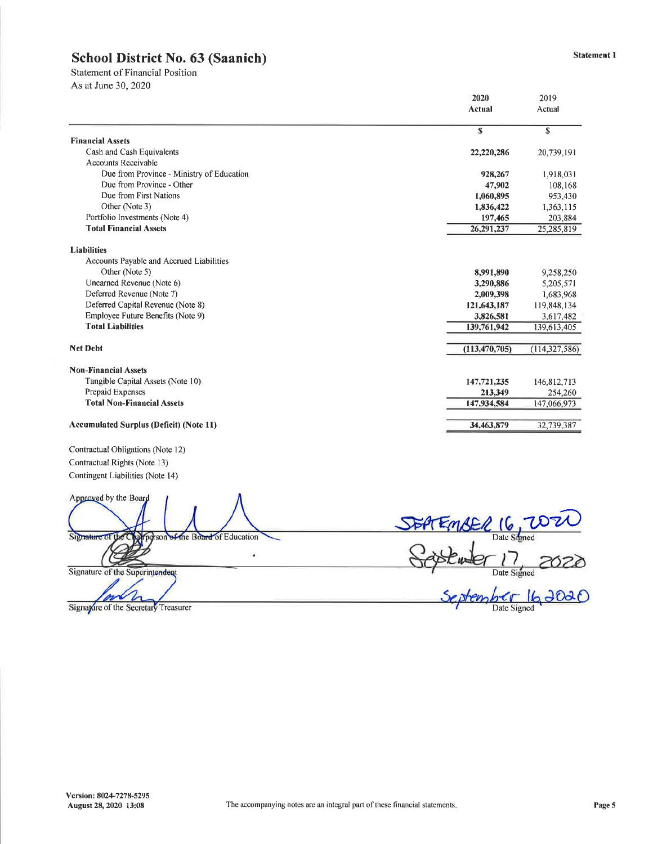Statement of Financial Position As at June 30, 2020

|                                                | 2020<br><b>Actual</b> | 2019<br>Actual  |
|------------------------------------------------|-----------------------|-----------------|
|                                                | $\mathbf S$           | $\mathbf S$     |
| <b>Financial Assets</b>                        |                       |                 |
| Cash and Cash Equivalents                      | 22,220,286            | 20,739,191      |
| Accounts Receivable                            |                       |                 |
| Due from Province - Ministry of Education      | 928,267               | 1,918,031       |
| Due from Province - Other                      | 47,902                | 108,168         |
| Due from First Nations                         | 1,060,895             | 953,430         |
| Other (Note 3)                                 | 1,836,422             | 1,363,115       |
| Portfolio Investments (Note 4)                 | 197,465               | 203,884         |
| <b>Total Financial Assets</b>                  | 26,291,237            | 25,285,819      |
| <b>Liabilities</b>                             |                       |                 |
| Accounts Payable and Accrued Liabilities       |                       |                 |
| Other (Note 5)                                 | 8,991,890             | 9,258,250       |
| Unearned Revenue (Note 6)                      | 3,290,886             | 5,205,571       |
| Deferred Revenue (Note 7)                      | 2,009,398             | 1,683,968       |
| Deferred Capital Revenue (Note 8)              | 121,643,187           | 119,848,134     |
| Employee Future Benefits (Note 9)              | 3,826,581             | 3,617,482       |
| <b>Total Liabilities</b>                       | 139,761,942           | 139,613,405     |
| <b>Net Debt</b>                                | (113, 470, 705)       | (114, 327, 586) |
| <b>Non-Financial Assets</b>                    |                       |                 |
| Tangible Capital Assets (Note 10)              | 147,721,235           | 146,812,713     |
| <b>Prepaid Expenses</b>                        | 213,349               | 254,260         |
| <b>Total Non-Financial Assets</b>              | 147,934,584           | 147,066,973     |
| <b>Accumulated Surplus (Deficit) (Note 11)</b> | 34,463,879            | 32,739,387      |

Contractual Rights (Note 13) Contingent Liabilities (Note 14)

Approved by the Board SEPTEMBER 16, 2020 Signature of th crson of the Board of Education i, Signature of the Superintendent September 16,2020

Signapure of the Secretary Treasurer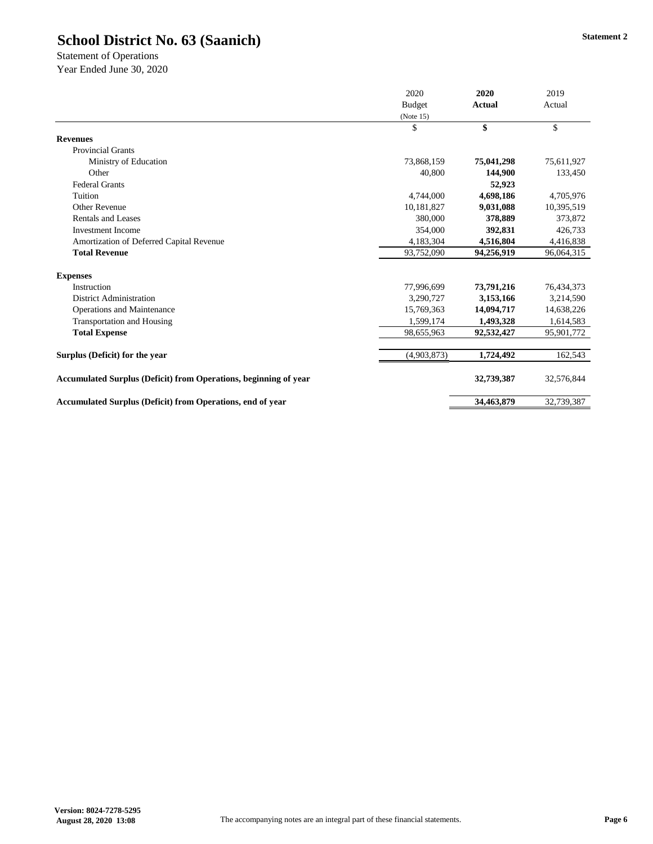Statement of Operations

|                                                                         | 2020          | 2020          | 2019         |        |
|-------------------------------------------------------------------------|---------------|---------------|--------------|--------|
|                                                                         | <b>Budget</b> | <b>Actual</b> |              | Actual |
|                                                                         | (Note 15)     |               |              |        |
|                                                                         | \$            | \$            | $\mathbb{S}$ |        |
| <b>Revenues</b>                                                         |               |               |              |        |
| <b>Provincial Grants</b>                                                |               |               |              |        |
| Ministry of Education                                                   | 73,868,159    | 75,041,298    | 75,611,927   |        |
| Other                                                                   | 40,800        | 144,900       | 133,450      |        |
| <b>Federal Grants</b>                                                   |               | 52,923        |              |        |
| Tuition                                                                 | 4,744,000     | 4,698,186     | 4,705,976    |        |
| Other Revenue                                                           | 10,181,827    | 9,031,088     | 10,395,519   |        |
| <b>Rentals and Leases</b>                                               | 380,000       | 378,889       | 373,872      |        |
| <b>Investment</b> Income                                                | 354,000       | 392,831       | 426,733      |        |
| Amortization of Deferred Capital Revenue                                | 4,183,304     | 4,516,804     | 4,416,838    |        |
| <b>Total Revenue</b>                                                    | 93,752,090    | 94,256,919    | 96,064,315   |        |
| <b>Expenses</b>                                                         |               |               |              |        |
| Instruction                                                             | 77,996,699    | 73,791,216    | 76,434,373   |        |
| District Administration                                                 | 3.290.727     | 3,153,166     | 3,214,590    |        |
| Operations and Maintenance                                              | 15,769,363    | 14,094,717    | 14,638,226   |        |
| <b>Transportation and Housing</b>                                       | 1,599,174     | 1,493,328     | 1,614,583    |        |
| <b>Total Expense</b>                                                    | 98,655,963    | 92,532,427    | 95,901,772   |        |
| Surplus (Deficit) for the year                                          | (4,903,873)   | 1,724,492     | 162,543      |        |
| <b>Accumulated Surplus (Deficit) from Operations, beginning of year</b> |               | 32,739,387    | 32,576,844   |        |
| Accumulated Surplus (Deficit) from Operations, end of year              |               | 34,463,879    | 32,739,387   |        |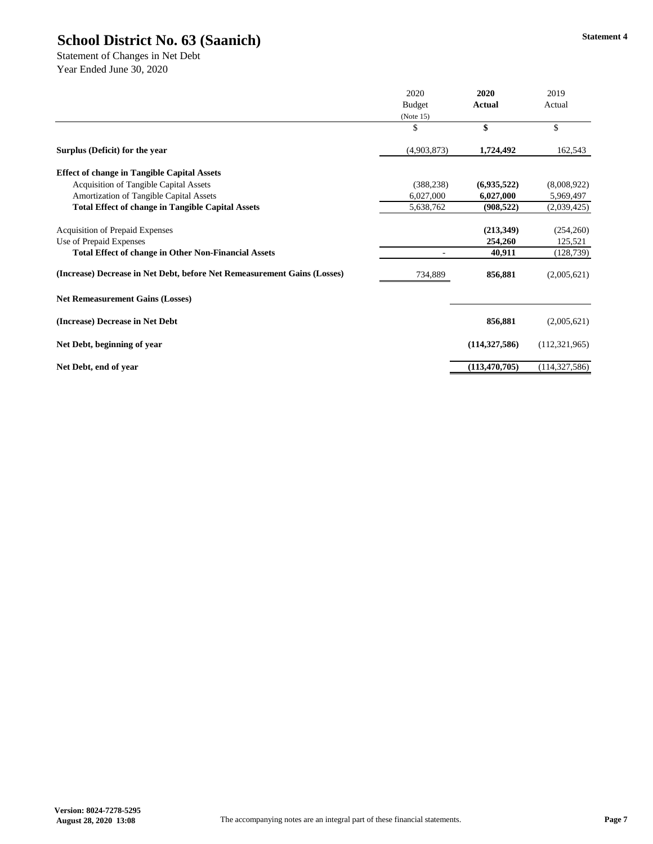Statement of Changes in Net Debt Year Ended June 30, 2020

|                                                                          | 2020          | 2020            | 2019            |
|--------------------------------------------------------------------------|---------------|-----------------|-----------------|
|                                                                          | <b>Budget</b> | Actual          | Actual          |
|                                                                          | (Note 15)     |                 |                 |
|                                                                          | \$            | \$              | \$              |
| Surplus (Deficit) for the year                                           | (4,903,873)   | 1,724,492       | 162,543         |
| <b>Effect of change in Tangible Capital Assets</b>                       |               |                 |                 |
| Acquisition of Tangible Capital Assets                                   | (388, 238)    | (6,935,522)     | (8,008,922)     |
| Amortization of Tangible Capital Assets                                  | 6,027,000     | 6,027,000       | 5,969,497       |
| <b>Total Effect of change in Tangible Capital Assets</b>                 | 5,638,762     | (908, 522)      | (2,039,425)     |
| <b>Acquisition of Prepaid Expenses</b>                                   |               | (213,349)       | (254, 260)      |
| Use of Prepaid Expenses                                                  |               | 254,260         | 125,521         |
| <b>Total Effect of change in Other Non-Financial Assets</b>              |               | 40,911          | (128, 739)      |
| (Increase) Decrease in Net Debt, before Net Remeasurement Gains (Losses) | 734,889       | 856,881         | (2,005,621)     |
| <b>Net Remeasurement Gains (Losses)</b>                                  |               |                 |                 |
| (Increase) Decrease in Net Debt                                          |               | 856,881         | (2,005,621)     |
| Net Debt, beginning of year                                              |               | (114, 327, 586) | (112, 321, 965) |
| Net Debt, end of year                                                    |               | (113, 470, 705) | (114, 327, 586) |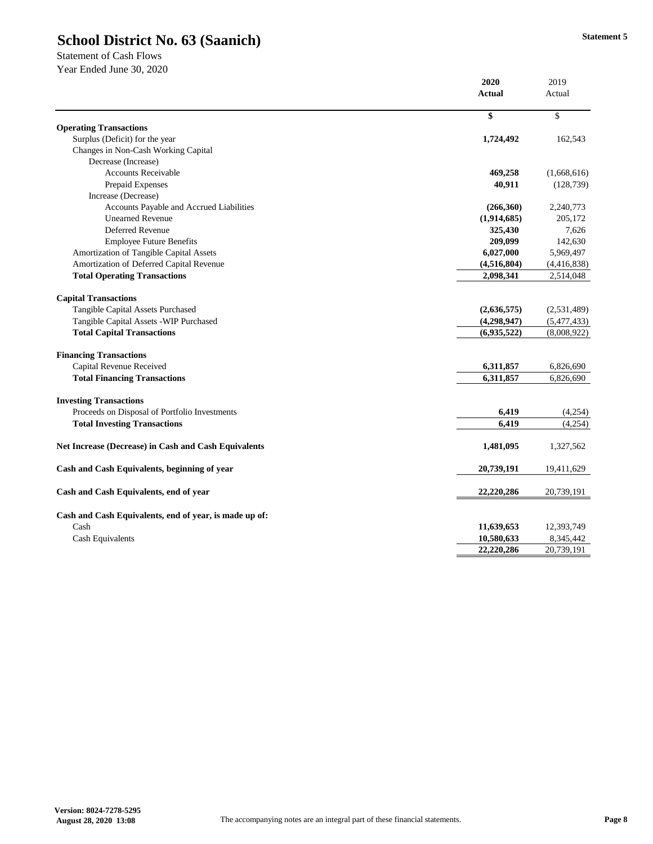Statement of Cash Flows

|                                                        | 2020<br>Actual          | 2019<br>Actual |
|--------------------------------------------------------|-------------------------|----------------|
|                                                        |                         |                |
|                                                        | \$                      | \$             |
| <b>Operating Transactions</b>                          |                         |                |
| Surplus (Deficit) for the year                         | 1,724,492               | 162,543        |
| Changes in Non-Cash Working Capital                    |                         |                |
| Decrease (Increase)                                    |                         |                |
| Accounts Receivable                                    | 469,258                 | (1,668,616)    |
| Prepaid Expenses                                       | 40,911                  | (128, 739)     |
| Increase (Decrease)                                    |                         |                |
| Accounts Payable and Accrued Liabilities               | (266,360)               | 2,240,773      |
| <b>Unearned Revenue</b>                                | (1,914,685)             | 205,172        |
| Deferred Revenue                                       | 325,430                 | 7,626          |
| <b>Employee Future Benefits</b>                        | 209,099                 | 142,630        |
| Amortization of Tangible Capital Assets                | 6,027,000               | 5,969,497      |
| Amortization of Deferred Capital Revenue               | (4,516,804)             | (4,416,838)    |
| <b>Total Operating Transactions</b>                    | 2,098,341               | 2,514,048      |
| <b>Capital Transactions</b>                            |                         |                |
| Tangible Capital Assets Purchased                      | (2,636,575)             | (2,531,489)    |
| Tangible Capital Assets - WIP Purchased                | (4,298,947)             | (5,477,433)    |
| <b>Total Capital Transactions</b>                      | (6,935,522)             | (8,008,922)    |
| <b>Financing Transactions</b>                          |                         |                |
| Capital Revenue Received                               | 6,311,857               | 6,826,690      |
| <b>Total Financing Transactions</b>                    | 6,311,857               | 6,826,690      |
| <b>Investing Transactions</b>                          |                         |                |
| Proceeds on Disposal of Portfolio Investments          | 6,419                   | (4,254)        |
| <b>Total Investing Transactions</b>                    | 6.419                   | (4,254)        |
| Net Increase (Decrease) in Cash and Cash Equivalents   | 1,481,095               | 1,327,562      |
| Cash and Cash Equivalents, beginning of year           | 20,739,191              | 19,411,629     |
| Cash and Cash Equivalents, end of year                 | 22,220,286              | 20,739,191     |
| Cash and Cash Equivalents, end of year, is made up of: |                         |                |
| Cash                                                   | 11,639,653              | 12,393,749     |
| Cash Equivalents                                       | 10,580,633              | 8,345,442      |
|                                                        | $\overline{22,220,286}$ | 20,739,191     |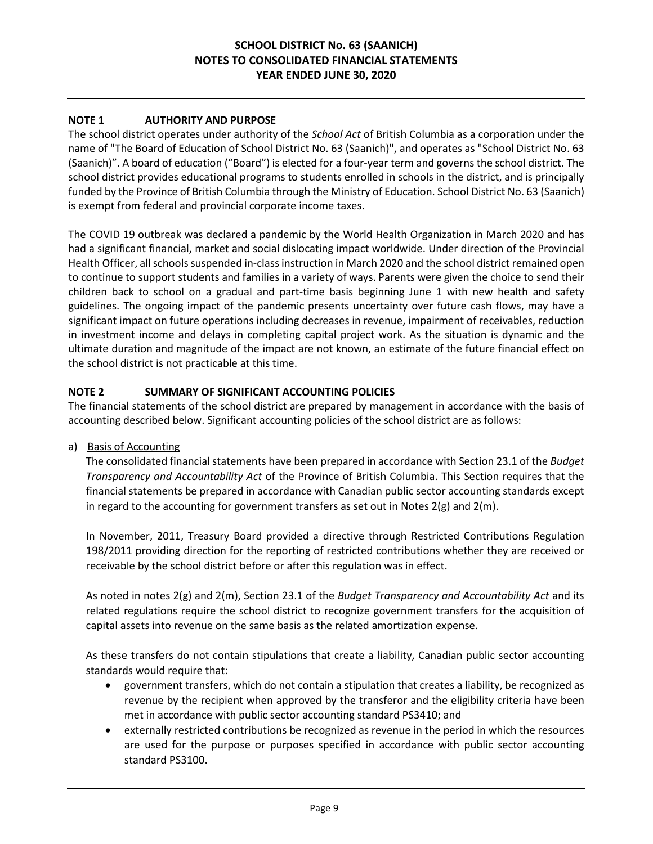#### **NOTE 1 AUTHORITY AND PURPOSE**

The school district operates under authority of the *School Act* of British Columbia as a corporation under the name of "The Board of Education of School District No. 63 (Saanich)", and operates as "School District No. 63 (Saanich)". A board of education ("Board") is elected for a four-year term and governs the school district. The school district provides educational programs to students enrolled in schools in the district, and is principally funded by the Province of British Columbia through the Ministry of Education. School District No. 63 (Saanich) is exempt from federal and provincial corporate income taxes.

The COVID 19 outbreak was declared a pandemic by the World Health Organization in March 2020 and has had a significant financial, market and social dislocating impact worldwide. Under direction of the Provincial Health Officer, all schools suspended in-class instruction in March 2020 and the school district remained open to continue to support students and families in a variety of ways. Parents were given the choice to send their children back to school on a gradual and part-time basis beginning June 1 with new health and safety guidelines. The ongoing impact of the pandemic presents uncertainty over future cash flows, may have a significant impact on future operations including decreases in revenue, impairment of receivables, reduction in investment income and delays in completing capital project work. As the situation is dynamic and the ultimate duration and magnitude of the impact are not known, an estimate of the future financial effect on the school district is not practicable at this time.

#### **NOTE 2 SUMMARY OF SIGNIFICANT ACCOUNTING POLICIES**

The financial statements of the school district are prepared by management in accordance with the basis of accounting described below. Significant accounting policies of the school district are as follows:

a) Basis of Accounting

The consolidated financial statements have been prepared in accordance with Section 23.1 of the *Budget Transparency and Accountability Act* of the Province of British Columbia. This Section requires that the financial statements be prepared in accordance with Canadian public sector accounting standards except in regard to the accounting for government transfers as set out in Notes  $2(g)$  and  $2(m)$ .

In November, 2011, Treasury Board provided a directive through Restricted Contributions Regulation 198/2011 providing direction for the reporting of restricted contributions whether they are received or receivable by the school district before or after this regulation was in effect.

As noted in notes 2(g) and 2(m), Section 23.1 of the *Budget Transparency and Accountability Act* and its related regulations require the school district to recognize government transfers for the acquisition of capital assets into revenue on the same basis as the related amortization expense.

As these transfers do not contain stipulations that create a liability, Canadian public sector accounting standards would require that:

- government transfers, which do not contain a stipulation that creates a liability, be recognized as revenue by the recipient when approved by the transferor and the eligibility criteria have been met in accordance with public sector accounting standard PS3410; and
- externally restricted contributions be recognized as revenue in the period in which the resources are used for the purpose or purposes specified in accordance with public sector accounting standard PS3100.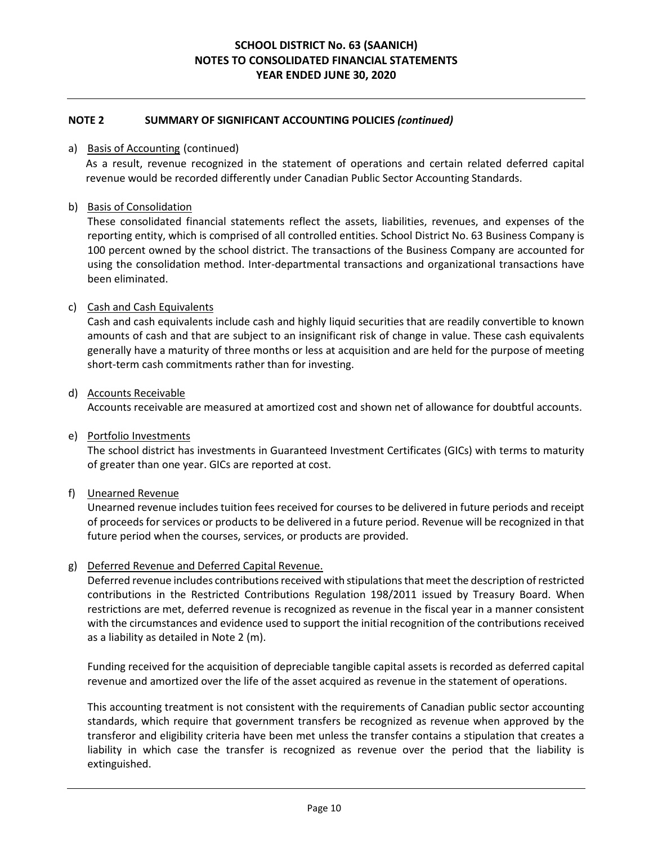#### **NOTE 2 SUMMARY OF SIGNIFICANT ACCOUNTING POLICIES** *(continued)*

#### a) Basis of Accounting (continued)

As a result, revenue recognized in the statement of operations and certain related deferred capital revenue would be recorded differently under Canadian Public Sector Accounting Standards.

#### b) Basis of Consolidation

These consolidated financial statements reflect the assets, liabilities, revenues, and expenses of the reporting entity, which is comprised of all controlled entities. School District No. 63 Business Company is 100 percent owned by the school district. The transactions of the Business Company are accounted for using the consolidation method. Inter-departmental transactions and organizational transactions have been eliminated.

#### c) Cash and Cash Equivalents

Cash and cash equivalents include cash and highly liquid securities that are readily convertible to known amounts of cash and that are subject to an insignificant risk of change in value. These cash equivalents generally have a maturity of three months or less at acquisition and are held for the purpose of meeting short-term cash commitments rather than for investing.

#### d) Accounts Receivable

Accounts receivable are measured at amortized cost and shown net of allowance for doubtful accounts.

#### e) Portfolio Investments

The school district has investments in Guaranteed Investment Certificates (GICs) with terms to maturity of greater than one year. GICs are reported at cost.

#### f) Unearned Revenue

Unearned revenue includes tuition fees received for courses to be delivered in future periods and receipt of proceeds for services or products to be delivered in a future period. Revenue will be recognized in that future period when the courses, services, or products are provided.

#### g) Deferred Revenue and Deferred Capital Revenue.

Deferred revenue includes contributions received with stipulations that meet the description of restricted contributions in the Restricted Contributions Regulation 198/2011 issued by Treasury Board. When restrictions are met, deferred revenue is recognized as revenue in the fiscal year in a manner consistent with the circumstances and evidence used to support the initial recognition of the contributions received as a liability as detailed in Note 2 (m).

Funding received for the acquisition of depreciable tangible capital assets is recorded as deferred capital revenue and amortized over the life of the asset acquired as revenue in the statement of operations.

This accounting treatment is not consistent with the requirements of Canadian public sector accounting standards, which require that government transfers be recognized as revenue when approved by the transferor and eligibility criteria have been met unless the transfer contains a stipulation that creates a liability in which case the transfer is recognized as revenue over the period that the liability is extinguished.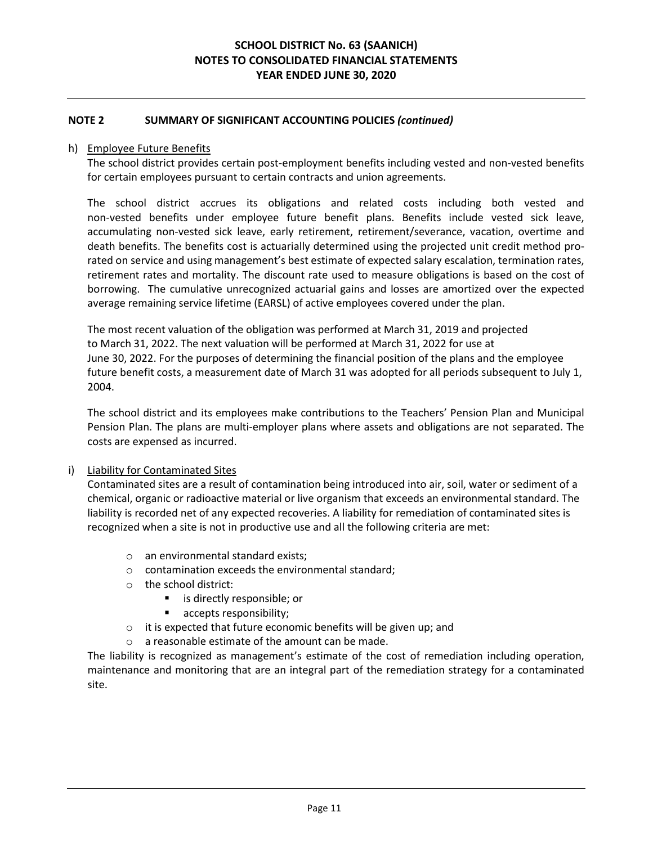#### **NOTE 2 SUMMARY OF SIGNIFICANT ACCOUNTING POLICIES** *(continued)*

#### h) Employee Future Benefits

The school district provides certain post-employment benefits including vested and non-vested benefits for certain employees pursuant to certain contracts and union agreements.

The school district accrues its obligations and related costs including both vested and non-vested benefits under employee future benefit plans. Benefits include vested sick leave, accumulating non-vested sick leave, early retirement, retirement/severance, vacation, overtime and death benefits. The benefits cost is actuarially determined using the projected unit credit method prorated on service and using management's best estimate of expected salary escalation, termination rates, retirement rates and mortality. The discount rate used to measure obligations is based on the cost of borrowing. The cumulative unrecognized actuarial gains and losses are amortized over the expected average remaining service lifetime (EARSL) of active employees covered under the plan.

The most recent valuation of the obligation was performed at March 31, 2019 and projected to March 31, 2022. The next valuation will be performed at March 31, 2022 for use at June 30, 2022. For the purposes of determining the financial position of the plans and the employee future benefit costs, a measurement date of March 31 was adopted for all periods subsequent to July 1, 2004.

The school district and its employees make contributions to the Teachers' Pension Plan and Municipal Pension Plan. The plans are multi-employer plans where assets and obligations are not separated. The costs are expensed as incurred.

#### i) Liability for Contaminated Sites

Contaminated sites are a result of contamination being introduced into air, soil, water or sediment of a chemical, organic or radioactive material or live organism that exceeds an environmental standard. The liability is recorded net of any expected recoveries. A liability for remediation of contaminated sites is recognized when a site is not in productive use and all the following criteria are met:

- o an environmental standard exists;
- o contamination exceeds the environmental standard;
- o the school district:
	- **EXECUTE:** is directly responsible; or
	- **accepts responsibility;**
- o it is expected that future economic benefits will be given up; and
- o a reasonable estimate of the amount can be made.

The liability is recognized as management's estimate of the cost of remediation including operation, maintenance and monitoring that are an integral part of the remediation strategy for a contaminated site.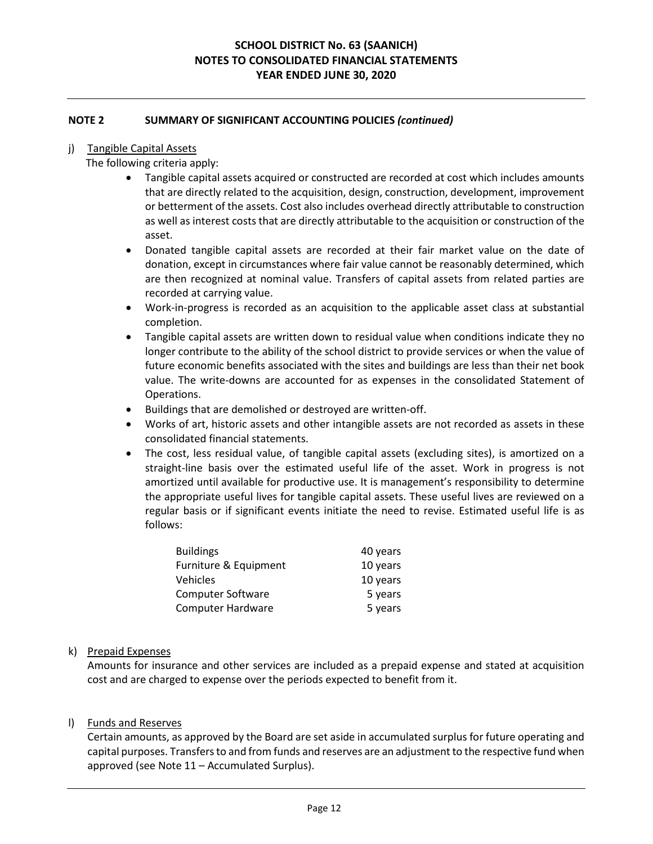#### **NOTE 2 SUMMARY OF SIGNIFICANT ACCOUNTING POLICIES** *(continued)*

#### j) Tangible Capital Assets

The following criteria apply:

- Tangible capital assets acquired or constructed are recorded at cost which includes amounts that are directly related to the acquisition, design, construction, development, improvement or betterment of the assets. Cost also includes overhead directly attributable to construction as well as interest costs that are directly attributable to the acquisition or construction of the asset.
- Donated tangible capital assets are recorded at their fair market value on the date of donation, except in circumstances where fair value cannot be reasonably determined, which are then recognized at nominal value. Transfers of capital assets from related parties are recorded at carrying value.
- Work-in-progress is recorded as an acquisition to the applicable asset class at substantial completion.
- Tangible capital assets are written down to residual value when conditions indicate they no longer contribute to the ability of the school district to provide services or when the value of future economic benefits associated with the sites and buildings are less than their net book value. The write-downs are accounted for as expenses in the consolidated Statement of Operations.
- Buildings that are demolished or destroyed are written-off.
- Works of art, historic assets and other intangible assets are not recorded as assets in these consolidated financial statements.
- The cost, less residual value, of tangible capital assets (excluding sites), is amortized on a straight-line basis over the estimated useful life of the asset. Work in progress is not amortized until available for productive use. It is management's responsibility to determine the appropriate useful lives for tangible capital assets. These useful lives are reviewed on a regular basis or if significant events initiate the need to revise. Estimated useful life is as follows:

| <b>Buildings</b>         | 40 years |
|--------------------------|----------|
| Furniture & Equipment    | 10 years |
| Vehicles                 | 10 years |
| <b>Computer Software</b> | 5 years  |
| Computer Hardware        | 5 years  |

#### k) Prepaid Expenses

Amounts for insurance and other services are included as a prepaid expense and stated at acquisition cost and are charged to expense over the periods expected to benefit from it.

#### l) Funds and Reserves

Certain amounts, as approved by the Board are set aside in accumulated surplus for future operating and capital purposes. Transfers to and from funds and reserves are an adjustment to the respective fund when approved (see Note 11 – Accumulated Surplus).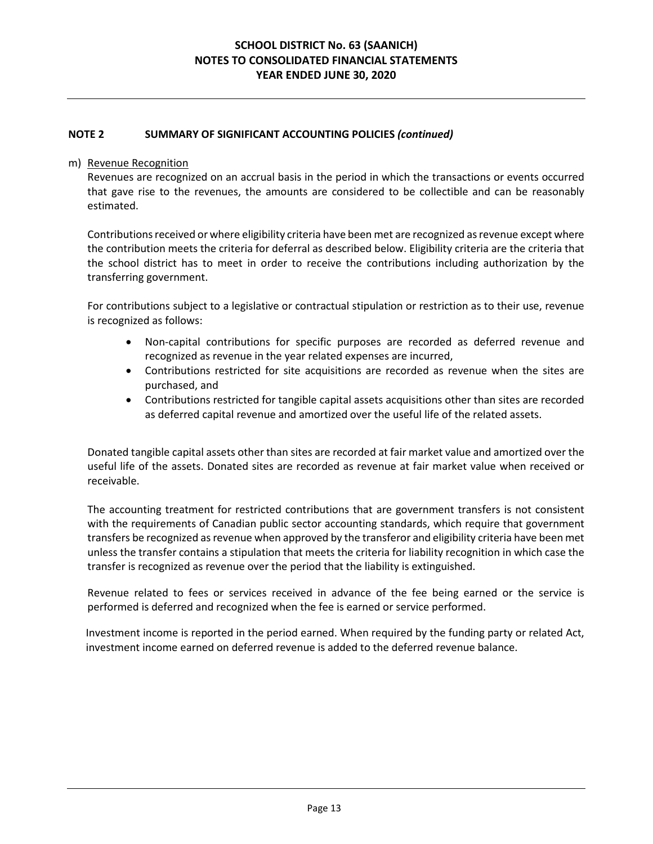#### **NOTE 2 SUMMARY OF SIGNIFICANT ACCOUNTING POLICIES** *(continued)*

#### m) Revenue Recognition

Revenues are recognized on an accrual basis in the period in which the transactions or events occurred that gave rise to the revenues, the amounts are considered to be collectible and can be reasonably estimated.

Contributions received or where eligibility criteria have been met are recognized as revenue except where the contribution meets the criteria for deferral as described below. Eligibility criteria are the criteria that the school district has to meet in order to receive the contributions including authorization by the transferring government.

For contributions subject to a legislative or contractual stipulation or restriction as to their use, revenue is recognized as follows:

- Non-capital contributions for specific purposes are recorded as deferred revenue and recognized as revenue in the year related expenses are incurred,
- Contributions restricted for site acquisitions are recorded as revenue when the sites are purchased, and
- Contributions restricted for tangible capital assets acquisitions other than sites are recorded as deferred capital revenue and amortized over the useful life of the related assets.

Donated tangible capital assets other than sites are recorded at fair market value and amortized over the useful life of the assets. Donated sites are recorded as revenue at fair market value when received or receivable.

The accounting treatment for restricted contributions that are government transfers is not consistent with the requirements of Canadian public sector accounting standards, which require that government transfers be recognized as revenue when approved by the transferor and eligibility criteria have been met unless the transfer contains a stipulation that meets the criteria for liability recognition in which case the transfer is recognized as revenue over the period that the liability is extinguished.

Revenue related to fees or services received in advance of the fee being earned or the service is performed is deferred and recognized when the fee is earned or service performed.

Investment income is reported in the period earned. When required by the funding party or related Act, investment income earned on deferred revenue is added to the deferred revenue balance.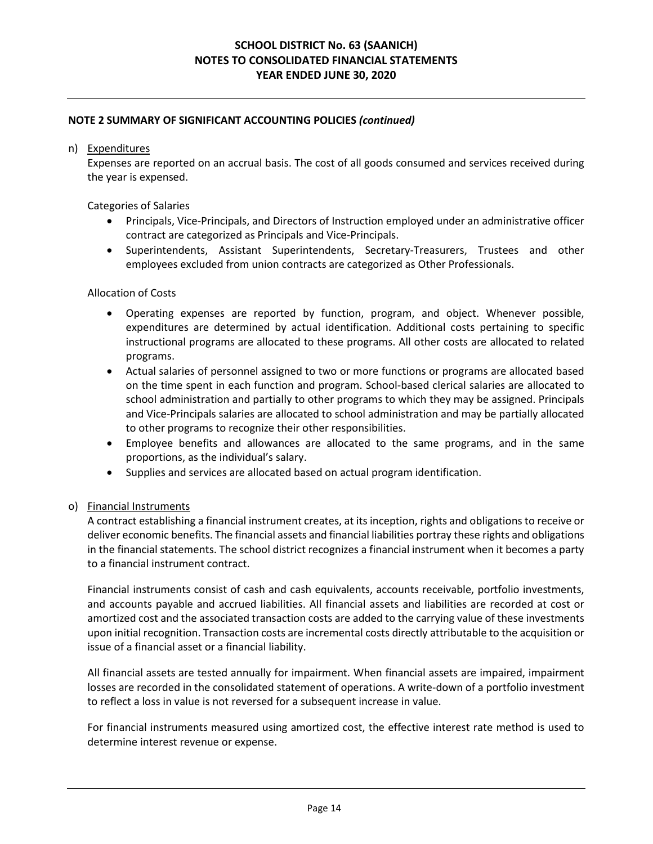#### **NOTE 2 SUMMARY OF SIGNIFICANT ACCOUNTING POLICIES** *(continued)*

#### n) Expenditures

Expenses are reported on an accrual basis. The cost of all goods consumed and services received during the year is expensed.

Categories of Salaries

- Principals, Vice-Principals, and Directors of Instruction employed under an administrative officer contract are categorized as Principals and Vice-Principals.
- Superintendents, Assistant Superintendents, Secretary-Treasurers, Trustees and other employees excluded from union contracts are categorized as Other Professionals.

#### Allocation of Costs

- Operating expenses are reported by function, program, and object. Whenever possible, expenditures are determined by actual identification. Additional costs pertaining to specific instructional programs are allocated to these programs. All other costs are allocated to related programs.
- Actual salaries of personnel assigned to two or more functions or programs are allocated based on the time spent in each function and program. School-based clerical salaries are allocated to school administration and partially to other programs to which they may be assigned. Principals and Vice-Principals salaries are allocated to school administration and may be partially allocated to other programs to recognize their other responsibilities.
- Employee benefits and allowances are allocated to the same programs, and in the same proportions, as the individual's salary.
- Supplies and services are allocated based on actual program identification.

#### o) Financial Instruments

A contract establishing a financial instrument creates, at its inception, rights and obligations to receive or deliver economic benefits. The financial assets and financial liabilities portray these rights and obligations in the financial statements. The school district recognizes a financial instrument when it becomes a party to a financial instrument contract.

Financial instruments consist of cash and cash equivalents, accounts receivable, portfolio investments, and accounts payable and accrued liabilities. All financial assets and liabilities are recorded at cost or amortized cost and the associated transaction costs are added to the carrying value of these investments upon initial recognition. Transaction costs are incremental costs directly attributable to the acquisition or issue of a financial asset or a financial liability.

All financial assets are tested annually for impairment. When financial assets are impaired, impairment losses are recorded in the consolidated statement of operations. A write-down of a portfolio investment to reflect a loss in value is not reversed for a subsequent increase in value.

For financial instruments measured using amortized cost, the effective interest rate method is used to determine interest revenue or expense.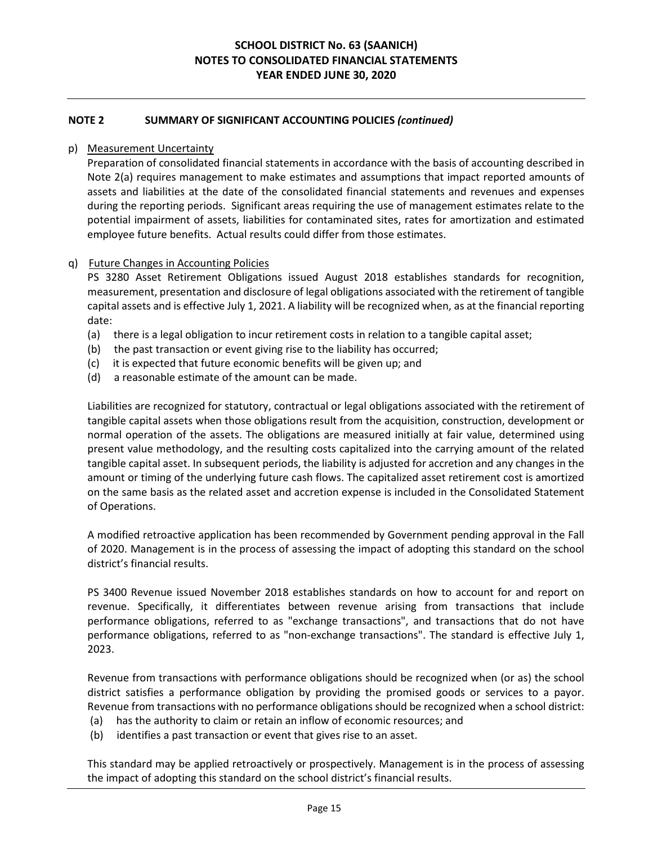#### **NOTE 2 SUMMARY OF SIGNIFICANT ACCOUNTING POLICIES** *(continued)*

#### p) Measurement Uncertainty

Preparation of consolidated financial statements in accordance with the basis of accounting described in Note 2(a) requires management to make estimates and assumptions that impact reported amounts of assets and liabilities at the date of the consolidated financial statements and revenues and expenses during the reporting periods. Significant areas requiring the use of management estimates relate to the potential impairment of assets, liabilities for contaminated sites, rates for amortization and estimated employee future benefits. Actual results could differ from those estimates.

#### q) Future Changes in Accounting Policies

PS 3280 Asset Retirement Obligations issued August 2018 establishes standards for recognition, measurement, presentation and disclosure of legal obligations associated with the retirement of tangible capital assets and is effective July 1, 2021. A liability will be recognized when, as at the financial reporting date:

- (a) there is a legal obligation to incur retirement costs in relation to a tangible capital asset;
- (b) the past transaction or event giving rise to the liability has occurred;
- (c) it is expected that future economic benefits will be given up; and
- (d) a reasonable estimate of the amount can be made.

Liabilities are recognized for statutory, contractual or legal obligations associated with the retirement of tangible capital assets when those obligations result from the acquisition, construction, development or normal operation of the assets. The obligations are measured initially at fair value, determined using present value methodology, and the resulting costs capitalized into the carrying amount of the related tangible capital asset. In subsequent periods, the liability is adjusted for accretion and any changes in the amount or timing of the underlying future cash flows. The capitalized asset retirement cost is amortized on the same basis as the related asset and accretion expense is included in the Consolidated Statement of Operations.

A modified retroactive application has been recommended by Government pending approval in the Fall of 2020. Management is in the process of assessing the impact of adopting this standard on the school district's financial results.

PS 3400 Revenue issued November 2018 establishes standards on how to account for and report on revenue. Specifically, it differentiates between revenue arising from transactions that include performance obligations, referred to as "exchange transactions", and transactions that do not have performance obligations, referred to as "non-exchange transactions". The standard is effective July 1, 2023.

Revenue from transactions with performance obligations should be recognized when (or as) the school district satisfies a performance obligation by providing the promised goods or services to a payor. Revenue from transactions with no performance obligations should be recognized when a school district:

- (a) has the authority to claim or retain an inflow of economic resources; and
- (b) identifies a past transaction or event that gives rise to an asset.

This standard may be applied retroactively or prospectively. Management is in the process of assessing the impact of adopting this standard on the school district's financial results.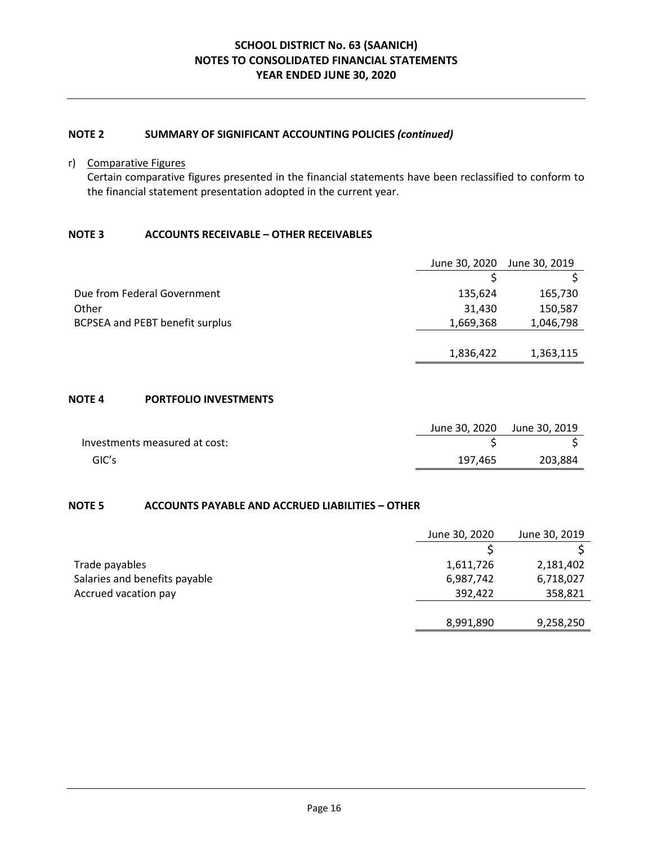#### **NOTE 2 SUMMARY OF SIGNIFICANT ACCOUNTING POLICIES** *(continued)*

r) Comparative Figures

Certain comparative figures presented in the financial statements have been reclassified to conform to the financial statement presentation adopted in the current year.

#### **NOTE 3 ACCOUNTS RECEIVABLE – OTHER RECEIVABLES**

|                                 |           | June 30, 2020 June 30, 2019 |
|---------------------------------|-----------|-----------------------------|
|                                 |           |                             |
| Due from Federal Government     | 135,624   | 165,730                     |
| Other                           | 31.430    | 150,587                     |
| BCPSEA and PEBT benefit surplus | 1,669,368 | 1,046,798                   |
|                                 |           |                             |
|                                 | 1,836,422 | 1,363,115                   |

#### **NOTE 4 PORTFOLIO INVESTMENTS**

|                               |         | June 30, 2020 June 30, 2019 |
|-------------------------------|---------|-----------------------------|
| Investments measured at cost: |         |                             |
| GIC's                         | 197.465 | 203.884                     |

#### **NOTE 5 ACCOUNTS PAYABLE AND ACCRUED LIABILITIES – OTHER**

|                               | June 30, 2020 | June 30, 2019 |
|-------------------------------|---------------|---------------|
|                               |               |               |
| Trade payables                | 1,611,726     | 2,181,402     |
| Salaries and benefits payable | 6,987,742     | 6,718,027     |
| Accrued vacation pay          | 392,422       | 358,821       |
|                               |               |               |
|                               | 8,991,890     | 9,258,250     |
|                               |               |               |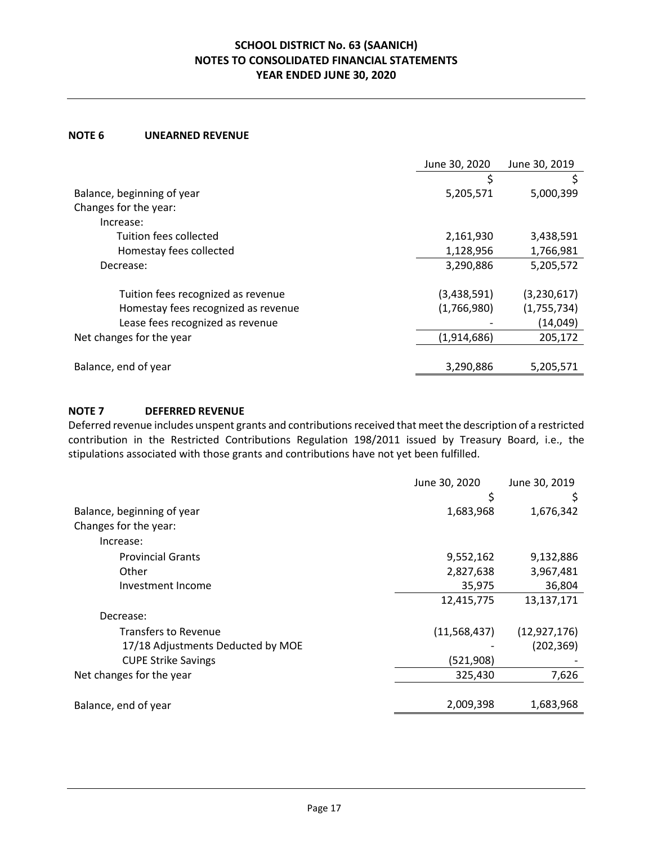#### **NOTE 6 UNEARNED REVENUE**

|                                     | June 30, 2020 | June 30, 2019 |
|-------------------------------------|---------------|---------------|
|                                     | \$            |               |
| Balance, beginning of year          | 5,205,571     | 5,000,399     |
| Changes for the year:               |               |               |
| Increase:                           |               |               |
| Tuition fees collected              | 2,161,930     | 3,438,591     |
| Homestay fees collected             | 1,128,956     | 1,766,981     |
| Decrease:                           | 3,290,886     | 5,205,572     |
| Tuition fees recognized as revenue  | (3,438,591)   | (3,230,617)   |
| Homestay fees recognized as revenue | (1,766,980)   | (1,755,734)   |
| Lease fees recognized as revenue    |               | (14, 049)     |
| Net changes for the year            | (1,914,686)   | 205,172       |
|                                     |               |               |
| Balance, end of year                | 3,290,886     | 5,205,571     |

#### **NOTE 7 DEFERRED REVENUE**

Deferred revenue includes unspent grants and contributions received that meet the description of a restricted contribution in the Restricted Contributions Regulation 198/2011 issued by Treasury Board, i.e., the stipulations associated with those grants and contributions have not yet been fulfilled.

|                                   | June 30, 2020  | June 30, 2019  |
|-----------------------------------|----------------|----------------|
|                                   | \$             | S              |
| Balance, beginning of year        | 1,683,968      | 1,676,342      |
| Changes for the year:             |                |                |
| Increase:                         |                |                |
| <b>Provincial Grants</b>          | 9,552,162      | 9,132,886      |
| Other                             | 2,827,638      | 3,967,481      |
| Investment Income                 | 35,975         | 36,804         |
|                                   | 12,415,775     | 13,137,171     |
| Decrease:                         |                |                |
| <b>Transfers to Revenue</b>       | (11, 568, 437) | (12, 927, 176) |
| 17/18 Adjustments Deducted by MOE |                | (202, 369)     |
| <b>CUPE Strike Savings</b>        | (521,908)      |                |
| Net changes for the year          | 325,430        | 7,626          |
|                                   |                |                |
| Balance, end of year              | 2,009,398      | 1,683,968      |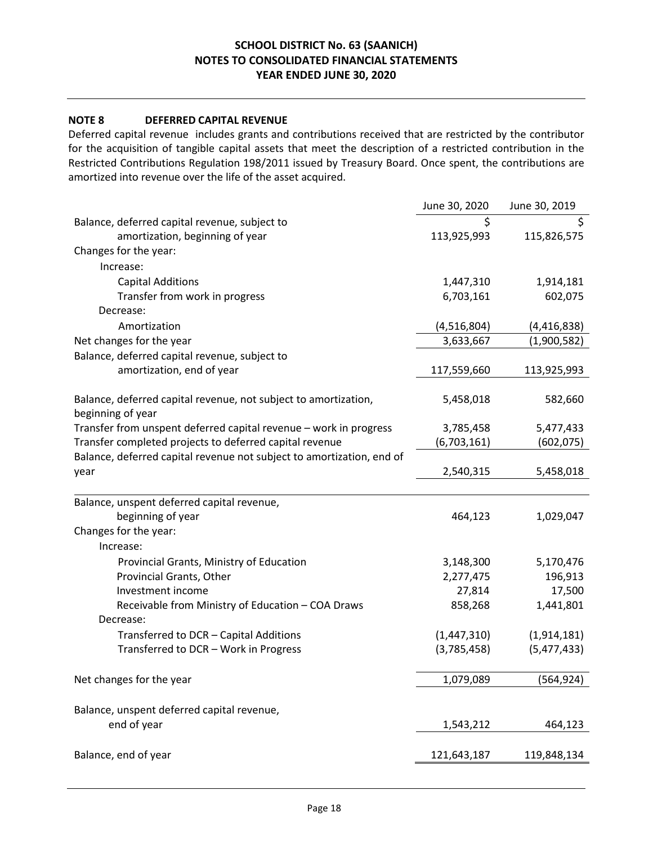#### **NOTE 8 DEFERRED CAPITAL REVENUE**

Deferred capital revenue includes grants and contributions received that are restricted by the contributor for the acquisition of tangible capital assets that meet the description of a restricted contribution in the Restricted Contributions Regulation 198/2011 issued by Treasury Board. Once spent, the contributions are amortized into revenue over the life of the asset acquired.

| Ś<br>\$<br>Balance, deferred capital revenue, subject to<br>amortization, beginning of year<br>113,925,993<br>115,826,575<br>Changes for the year:<br>Increase:<br><b>Capital Additions</b><br>1,447,310<br>1,914,181<br>Transfer from work in progress<br>6,703,161<br>602,075<br>Decrease:<br>Amortization<br>(4,516,804)<br>(4, 416, 838)<br>Net changes for the year<br>3,633,667<br>(1,900,582)<br>Balance, deferred capital revenue, subject to<br>amortization, end of year<br>117,559,660<br>113,925,993<br>5,458,018<br>582,660<br>Balance, deferred capital revenue, not subject to amortization,<br>beginning of year<br>Transfer from unspent deferred capital revenue - work in progress<br>3,785,458<br>5,477,433<br>Transfer completed projects to deferred capital revenue<br>(6,703,161)<br>(602, 075)<br>Balance, deferred capital revenue not subject to amortization, end of<br>2,540,315<br>5,458,018<br>year<br>Balance, unspent deferred capital revenue,<br>beginning of year<br>464,123<br>1,029,047<br>Changes for the year:<br>Increase:<br>Provincial Grants, Ministry of Education<br>3,148,300<br>5,170,476<br>Provincial Grants, Other<br>2,277,475<br>196,913<br>27,814<br>17,500<br>Investment income<br>Receivable from Ministry of Education - COA Draws<br>858,268<br>1,441,801<br>Decrease:<br>Transferred to DCR - Capital Additions<br>(1,447,310)<br>(1,914,181)<br>Transferred to DCR - Work in Progress<br>(3,785,458)<br>(5,477,433)<br>1,079,089<br>(564, 924)<br>Net changes for the year<br>Balance, unspent deferred capital revenue,<br>end of year<br>1,543,212<br>464,123 | June 30, 2020 | June 30, 2019 |
|-----------------------------------------------------------------------------------------------------------------------------------------------------------------------------------------------------------------------------------------------------------------------------------------------------------------------------------------------------------------------------------------------------------------------------------------------------------------------------------------------------------------------------------------------------------------------------------------------------------------------------------------------------------------------------------------------------------------------------------------------------------------------------------------------------------------------------------------------------------------------------------------------------------------------------------------------------------------------------------------------------------------------------------------------------------------------------------------------------------------------------------------------------------------------------------------------------------------------------------------------------------------------------------------------------------------------------------------------------------------------------------------------------------------------------------------------------------------------------------------------------------------------------------------------------------------------------------------------------------------------------|---------------|---------------|
|                                                                                                                                                                                                                                                                                                                                                                                                                                                                                                                                                                                                                                                                                                                                                                                                                                                                                                                                                                                                                                                                                                                                                                                                                                                                                                                                                                                                                                                                                                                                                                                                                             |               |               |
|                                                                                                                                                                                                                                                                                                                                                                                                                                                                                                                                                                                                                                                                                                                                                                                                                                                                                                                                                                                                                                                                                                                                                                                                                                                                                                                                                                                                                                                                                                                                                                                                                             |               |               |
|                                                                                                                                                                                                                                                                                                                                                                                                                                                                                                                                                                                                                                                                                                                                                                                                                                                                                                                                                                                                                                                                                                                                                                                                                                                                                                                                                                                                                                                                                                                                                                                                                             |               |               |
|                                                                                                                                                                                                                                                                                                                                                                                                                                                                                                                                                                                                                                                                                                                                                                                                                                                                                                                                                                                                                                                                                                                                                                                                                                                                                                                                                                                                                                                                                                                                                                                                                             |               |               |
|                                                                                                                                                                                                                                                                                                                                                                                                                                                                                                                                                                                                                                                                                                                                                                                                                                                                                                                                                                                                                                                                                                                                                                                                                                                                                                                                                                                                                                                                                                                                                                                                                             |               |               |
|                                                                                                                                                                                                                                                                                                                                                                                                                                                                                                                                                                                                                                                                                                                                                                                                                                                                                                                                                                                                                                                                                                                                                                                                                                                                                                                                                                                                                                                                                                                                                                                                                             |               |               |
|                                                                                                                                                                                                                                                                                                                                                                                                                                                                                                                                                                                                                                                                                                                                                                                                                                                                                                                                                                                                                                                                                                                                                                                                                                                                                                                                                                                                                                                                                                                                                                                                                             |               |               |
|                                                                                                                                                                                                                                                                                                                                                                                                                                                                                                                                                                                                                                                                                                                                                                                                                                                                                                                                                                                                                                                                                                                                                                                                                                                                                                                                                                                                                                                                                                                                                                                                                             |               |               |
|                                                                                                                                                                                                                                                                                                                                                                                                                                                                                                                                                                                                                                                                                                                                                                                                                                                                                                                                                                                                                                                                                                                                                                                                                                                                                                                                                                                                                                                                                                                                                                                                                             |               |               |
|                                                                                                                                                                                                                                                                                                                                                                                                                                                                                                                                                                                                                                                                                                                                                                                                                                                                                                                                                                                                                                                                                                                                                                                                                                                                                                                                                                                                                                                                                                                                                                                                                             |               |               |
|                                                                                                                                                                                                                                                                                                                                                                                                                                                                                                                                                                                                                                                                                                                                                                                                                                                                                                                                                                                                                                                                                                                                                                                                                                                                                                                                                                                                                                                                                                                                                                                                                             |               |               |
|                                                                                                                                                                                                                                                                                                                                                                                                                                                                                                                                                                                                                                                                                                                                                                                                                                                                                                                                                                                                                                                                                                                                                                                                                                                                                                                                                                                                                                                                                                                                                                                                                             |               |               |
|                                                                                                                                                                                                                                                                                                                                                                                                                                                                                                                                                                                                                                                                                                                                                                                                                                                                                                                                                                                                                                                                                                                                                                                                                                                                                                                                                                                                                                                                                                                                                                                                                             |               |               |
|                                                                                                                                                                                                                                                                                                                                                                                                                                                                                                                                                                                                                                                                                                                                                                                                                                                                                                                                                                                                                                                                                                                                                                                                                                                                                                                                                                                                                                                                                                                                                                                                                             |               |               |
|                                                                                                                                                                                                                                                                                                                                                                                                                                                                                                                                                                                                                                                                                                                                                                                                                                                                                                                                                                                                                                                                                                                                                                                                                                                                                                                                                                                                                                                                                                                                                                                                                             |               |               |
|                                                                                                                                                                                                                                                                                                                                                                                                                                                                                                                                                                                                                                                                                                                                                                                                                                                                                                                                                                                                                                                                                                                                                                                                                                                                                                                                                                                                                                                                                                                                                                                                                             |               |               |
|                                                                                                                                                                                                                                                                                                                                                                                                                                                                                                                                                                                                                                                                                                                                                                                                                                                                                                                                                                                                                                                                                                                                                                                                                                                                                                                                                                                                                                                                                                                                                                                                                             |               |               |
|                                                                                                                                                                                                                                                                                                                                                                                                                                                                                                                                                                                                                                                                                                                                                                                                                                                                                                                                                                                                                                                                                                                                                                                                                                                                                                                                                                                                                                                                                                                                                                                                                             |               |               |
|                                                                                                                                                                                                                                                                                                                                                                                                                                                                                                                                                                                                                                                                                                                                                                                                                                                                                                                                                                                                                                                                                                                                                                                                                                                                                                                                                                                                                                                                                                                                                                                                                             |               |               |
|                                                                                                                                                                                                                                                                                                                                                                                                                                                                                                                                                                                                                                                                                                                                                                                                                                                                                                                                                                                                                                                                                                                                                                                                                                                                                                                                                                                                                                                                                                                                                                                                                             |               |               |
|                                                                                                                                                                                                                                                                                                                                                                                                                                                                                                                                                                                                                                                                                                                                                                                                                                                                                                                                                                                                                                                                                                                                                                                                                                                                                                                                                                                                                                                                                                                                                                                                                             |               |               |
|                                                                                                                                                                                                                                                                                                                                                                                                                                                                                                                                                                                                                                                                                                                                                                                                                                                                                                                                                                                                                                                                                                                                                                                                                                                                                                                                                                                                                                                                                                                                                                                                                             |               |               |
|                                                                                                                                                                                                                                                                                                                                                                                                                                                                                                                                                                                                                                                                                                                                                                                                                                                                                                                                                                                                                                                                                                                                                                                                                                                                                                                                                                                                                                                                                                                                                                                                                             |               |               |
|                                                                                                                                                                                                                                                                                                                                                                                                                                                                                                                                                                                                                                                                                                                                                                                                                                                                                                                                                                                                                                                                                                                                                                                                                                                                                                                                                                                                                                                                                                                                                                                                                             |               |               |
|                                                                                                                                                                                                                                                                                                                                                                                                                                                                                                                                                                                                                                                                                                                                                                                                                                                                                                                                                                                                                                                                                                                                                                                                                                                                                                                                                                                                                                                                                                                                                                                                                             |               |               |
|                                                                                                                                                                                                                                                                                                                                                                                                                                                                                                                                                                                                                                                                                                                                                                                                                                                                                                                                                                                                                                                                                                                                                                                                                                                                                                                                                                                                                                                                                                                                                                                                                             |               |               |
|                                                                                                                                                                                                                                                                                                                                                                                                                                                                                                                                                                                                                                                                                                                                                                                                                                                                                                                                                                                                                                                                                                                                                                                                                                                                                                                                                                                                                                                                                                                                                                                                                             |               |               |
|                                                                                                                                                                                                                                                                                                                                                                                                                                                                                                                                                                                                                                                                                                                                                                                                                                                                                                                                                                                                                                                                                                                                                                                                                                                                                                                                                                                                                                                                                                                                                                                                                             |               |               |
|                                                                                                                                                                                                                                                                                                                                                                                                                                                                                                                                                                                                                                                                                                                                                                                                                                                                                                                                                                                                                                                                                                                                                                                                                                                                                                                                                                                                                                                                                                                                                                                                                             |               |               |
|                                                                                                                                                                                                                                                                                                                                                                                                                                                                                                                                                                                                                                                                                                                                                                                                                                                                                                                                                                                                                                                                                                                                                                                                                                                                                                                                                                                                                                                                                                                                                                                                                             |               |               |
|                                                                                                                                                                                                                                                                                                                                                                                                                                                                                                                                                                                                                                                                                                                                                                                                                                                                                                                                                                                                                                                                                                                                                                                                                                                                                                                                                                                                                                                                                                                                                                                                                             |               |               |
|                                                                                                                                                                                                                                                                                                                                                                                                                                                                                                                                                                                                                                                                                                                                                                                                                                                                                                                                                                                                                                                                                                                                                                                                                                                                                                                                                                                                                                                                                                                                                                                                                             |               |               |
|                                                                                                                                                                                                                                                                                                                                                                                                                                                                                                                                                                                                                                                                                                                                                                                                                                                                                                                                                                                                                                                                                                                                                                                                                                                                                                                                                                                                                                                                                                                                                                                                                             |               |               |
|                                                                                                                                                                                                                                                                                                                                                                                                                                                                                                                                                                                                                                                                                                                                                                                                                                                                                                                                                                                                                                                                                                                                                                                                                                                                                                                                                                                                                                                                                                                                                                                                                             |               |               |
| Balance, end of year<br>121,643,187<br>119,848,134                                                                                                                                                                                                                                                                                                                                                                                                                                                                                                                                                                                                                                                                                                                                                                                                                                                                                                                                                                                                                                                                                                                                                                                                                                                                                                                                                                                                                                                                                                                                                                          |               |               |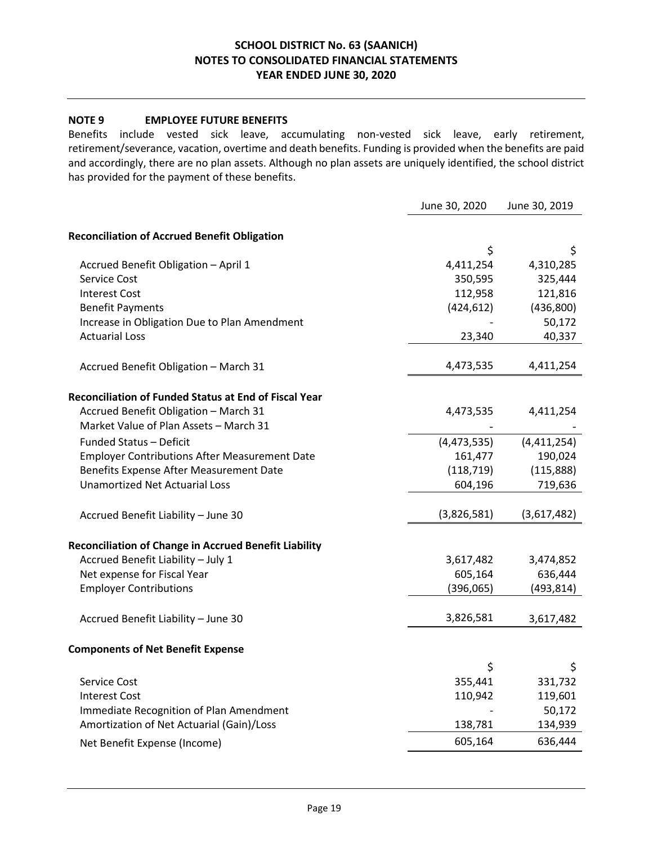#### **NOTE 9 EMPLOYEE FUTURE BENEFITS**

Benefits include vested sick leave, accumulating non-vested sick leave, early retirement, retirement/severance, vacation, overtime and death benefits. Funding is provided when the benefits are paid and accordingly, there are no plan assets. Although no plan assets are uniquely identified, the school district has provided for the payment of these benefits.

|                                                              | June 30, 2020 | June 30, 2019 |
|--------------------------------------------------------------|---------------|---------------|
|                                                              |               |               |
| <b>Reconciliation of Accrued Benefit Obligation</b>          |               |               |
|                                                              | \$            | \$            |
| Accrued Benefit Obligation - April 1                         | 4,411,254     | 4,310,285     |
| Service Cost                                                 | 350,595       | 325,444       |
| <b>Interest Cost</b>                                         | 112,958       | 121,816       |
| <b>Benefit Payments</b>                                      | (424, 612)    | (436, 800)    |
| Increase in Obligation Due to Plan Amendment                 |               | 50,172        |
| <b>Actuarial Loss</b>                                        | 23,340        | 40,337        |
| Accrued Benefit Obligation - March 31                        | 4,473,535     | 4,411,254     |
| Reconciliation of Funded Status at End of Fiscal Year        |               |               |
| Accrued Benefit Obligation - March 31                        | 4,473,535     | 4,411,254     |
| Market Value of Plan Assets - March 31                       |               |               |
| Funded Status - Deficit                                      | (4, 473, 535) | (4,411,254)   |
| <b>Employer Contributions After Measurement Date</b>         | 161,477       | 190,024       |
| Benefits Expense After Measurement Date                      | (118, 719)    | (115,888)     |
| <b>Unamortized Net Actuarial Loss</b>                        | 604,196       | 719,636       |
| Accrued Benefit Liability - June 30                          | (3,826,581)   | (3,617,482)   |
| <b>Reconciliation of Change in Accrued Benefit Liability</b> |               |               |
| Accrued Benefit Liability - July 1                           | 3,617,482     | 3,474,852     |
| Net expense for Fiscal Year                                  | 605,164       | 636,444       |
| <b>Employer Contributions</b>                                | (396,065)     | (493, 814)    |
|                                                              |               |               |
| Accrued Benefit Liability - June 30                          | 3,826,581     | 3,617,482     |
| <b>Components of Net Benefit Expense</b>                     |               |               |
|                                                              |               |               |
|                                                              | \$            | \$            |
| Service Cost                                                 | 355,441       | 331,732       |
| <b>Interest Cost</b>                                         | 110,942       | 119,601       |
| Immediate Recognition of Plan Amendment                      |               | 50,172        |
| Amortization of Net Actuarial (Gain)/Loss                    | 138,781       | 134,939       |
| Net Benefit Expense (Income)                                 | 605,164       | 636,444       |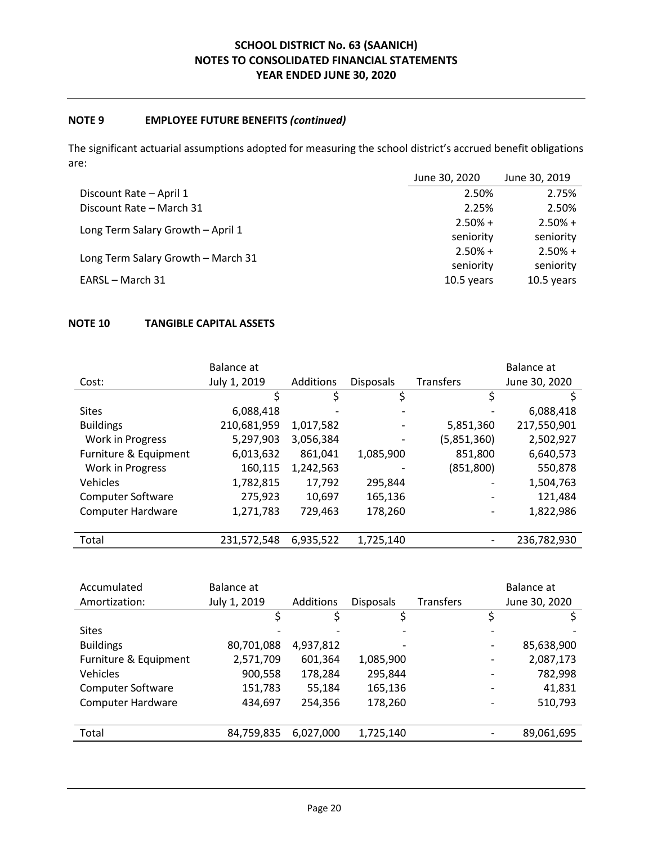#### **NOTE 9 EMPLOYEE FUTURE BENEFITS** *(continued)*

The significant actuarial assumptions adopted for measuring the school district's accrued benefit obligations are:

|                                    | June 30, 2020 | June 30, 2019 |
|------------------------------------|---------------|---------------|
| Discount Rate - April 1            | 2.50%         | 2.75%         |
| Discount Rate - March 31           | 2.25%         | 2.50%         |
| Long Term Salary Growth - April 1  | $2.50% +$     | $2.50% +$     |
|                                    | seniority     | seniority     |
| Long Term Salary Growth - March 31 | $2.50% +$     | $2.50% +$     |
|                                    | seniority     | seniority     |
| EARSL-March 31                     | $10.5$ years  | $10.5$ years  |

#### **NOTE 10 TANGIBLE CAPITAL ASSETS**

|                          | Balance at   |           |                  |                  | Balance at    |
|--------------------------|--------------|-----------|------------------|------------------|---------------|
| Cost:                    | July 1, 2019 | Additions | <b>Disposals</b> | <b>Transfers</b> | June 30, 2020 |
|                          |              | \$        | \$               | \$               |               |
| <b>Sites</b>             | 6,088,418    |           |                  |                  | 6,088,418     |
| <b>Buildings</b>         | 210,681,959  | 1,017,582 |                  | 5,851,360        | 217,550,901   |
| Work in Progress         | 5,297,903    | 3,056,384 |                  | (5,851,360)      | 2,502,927     |
| Furniture & Equipment    | 6,013,632    | 861,041   | 1,085,900        | 851,800          | 6,640,573     |
| Work in Progress         | 160,115      | 1,242,563 |                  | (851, 800)       | 550,878       |
| Vehicles                 | 1,782,815    | 17,792    | 295,844          |                  | 1,504,763     |
| <b>Computer Software</b> | 275,923      | 10,697    | 165,136          |                  | 121,484       |
| Computer Hardware        | 1,271,783    | 729,463   | 178,260          |                  | 1,822,986     |
|                          |              |           |                  |                  |               |
| Total                    | 231,572,548  | 6,935,522 | 1,725,140        |                  | 236,782,930   |

| Accumulated              | Balance at   |                  |                  |                  | Balance at                             |
|--------------------------|--------------|------------------|------------------|------------------|----------------------------------------|
| Amortization:            | July 1, 2019 | <b>Additions</b> | <b>Disposals</b> | <b>Transfers</b> | June 30, 2020                          |
|                          |              |                  | Ş                |                  |                                        |
| <b>Sites</b>             |              |                  |                  |                  |                                        |
| <b>Buildings</b>         | 80,701,088   | 4,937,812        |                  |                  | 85,638,900<br>$\overline{\phantom{0}}$ |
| Furniture & Equipment    | 2,571,709    | 601,364          | 1,085,900        |                  | 2,087,173                              |
| Vehicles                 | 900,558      | 178,284          | 295,844          |                  | 782,998                                |
| <b>Computer Software</b> | 151,783      | 55,184           | 165,136          |                  | 41,831                                 |
| Computer Hardware        | 434,697      | 254,356          | 178,260          |                  | 510,793                                |
|                          |              |                  |                  |                  |                                        |
| Total                    | 84,759,835   | 6,027,000        | 1,725,140        |                  | 89,061,695                             |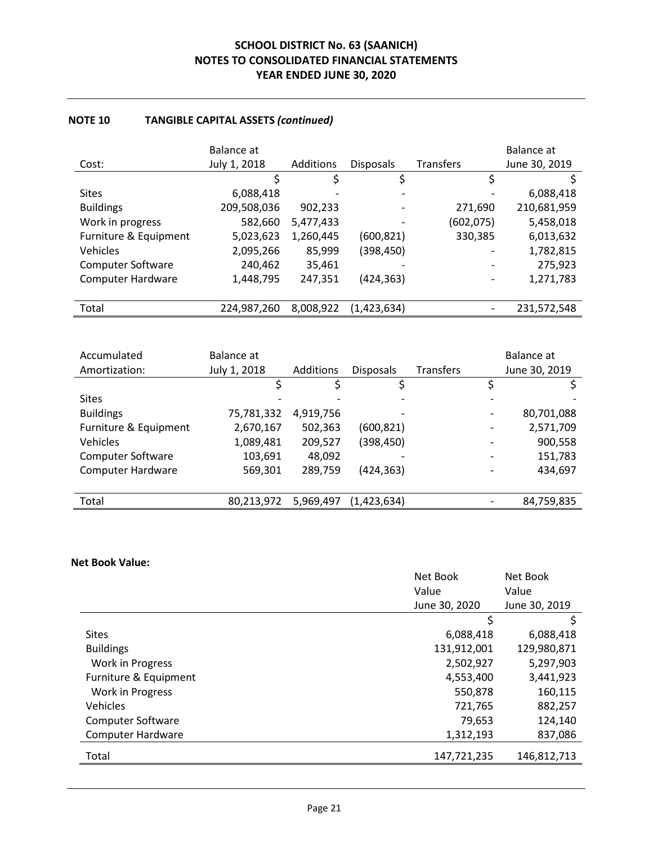|                          | Balance at   |                          |                              |                  | Balance at    |
|--------------------------|--------------|--------------------------|------------------------------|------------------|---------------|
| Cost:                    | July 1, 2018 | Additions                | <b>Disposals</b>             | <b>Transfers</b> | June 30, 2019 |
|                          |              |                          | \$                           | \$               | S             |
| <b>Sites</b>             | 6,088,418    | $\overline{\phantom{0}}$ |                              |                  | 6,088,418     |
| <b>Buildings</b>         | 209,508,036  | 902,233                  | $\qquad \qquad \blacksquare$ | 271,690          | 210,681,959   |
| Work in progress         | 582,660      | 5,477,433                |                              | (602,075)        | 5,458,018     |
| Furniture & Equipment    | 5,023,623    | 1,260,445                | (600, 821)                   | 330,385          | 6,013,632     |
| <b>Vehicles</b>          | 2,095,266    | 85,999                   | (398,450)                    |                  | 1,782,815     |
| <b>Computer Software</b> | 240,462      | 35,461                   |                              |                  | 275,923       |
| <b>Computer Hardware</b> | 1,448,795    | 247,351                  | (424, 363)                   |                  | 1,271,783     |
|                          |              |                          |                              |                  |               |
| Total                    | 224,987,260  | 8,008,922                | (1,423,634)                  |                  | 231,572,548   |

#### **NOTE 10 TANGIBLE CAPITAL ASSETS** *(continued)*

| Accumulated              | Balance at   |           |                  |           | <b>Balance</b> at |
|--------------------------|--------------|-----------|------------------|-----------|-------------------|
| Amortization:            | July 1, 2018 | Additions | <b>Disposals</b> | Transfers | June 30, 2019     |
|                          |              |           |                  |           |                   |
| <b>Sites</b>             |              |           |                  |           |                   |
| <b>Buildings</b>         | 75,781,332   | 4,919,756 |                  |           | 80,701,088        |
| Furniture & Equipment    | 2,670,167    | 502,363   | (600, 821)       |           | 2,571,709         |
| <b>Vehicles</b>          | 1,089,481    | 209,527   | (398, 450)       |           | 900,558           |
| <b>Computer Software</b> | 103,691      | 48,092    |                  |           | 151,783           |
| <b>Computer Hardware</b> | 569,301      | 289,759   | (424, 363)       |           | 434,697           |
|                          |              |           |                  |           |                   |
| Total                    | 80,213,972   | 5,969,497 | (1,423,634)      |           | 84,759,835        |

#### **Net Book Value:**

|                          | Net Book<br>Value<br>June 30, 2020 | Net Book<br>Value<br>June 30, 2019 |
|--------------------------|------------------------------------|------------------------------------|
|                          | \$                                 | Ş                                  |
| <b>Sites</b>             | 6,088,418                          | 6,088,418                          |
| <b>Buildings</b>         | 131,912,001                        | 129,980,871                        |
| Work in Progress         | 2,502,927                          | 5,297,903                          |
| Furniture & Equipment    | 4,553,400                          | 3,441,923                          |
| Work in Progress         | 550,878                            | 160,115                            |
| Vehicles                 | 721,765                            | 882,257                            |
| Computer Software        | 79,653                             | 124,140                            |
| <b>Computer Hardware</b> | 1,312,193                          | 837,086                            |
| Total                    | 147,721,235                        | 146,812,713                        |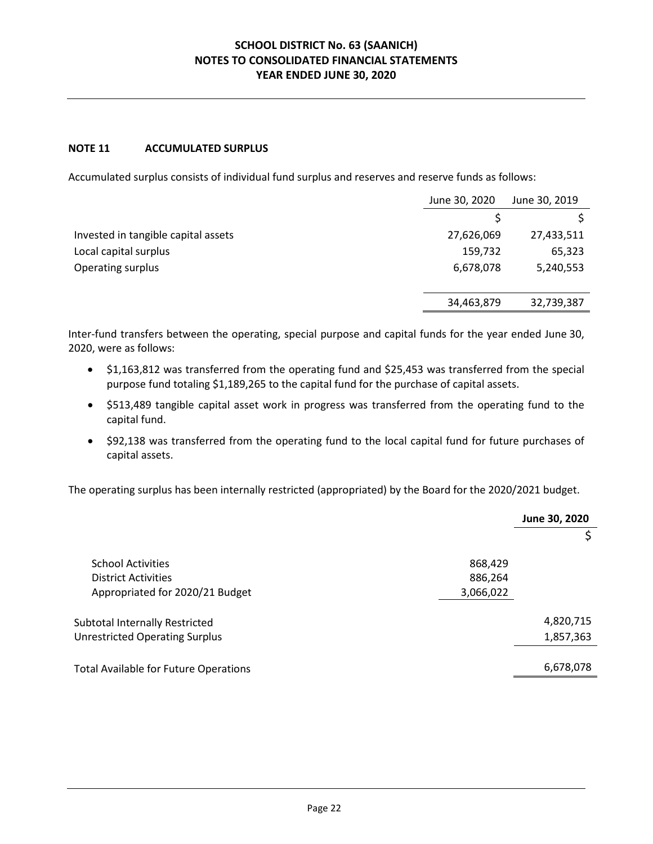#### **NOTE 11 ACCUMULATED SURPLUS**

Accumulated surplus consists of individual fund surplus and reserves and reserve funds as follows:

|                                     | June 30, 2020 | June 30, 2019 |
|-------------------------------------|---------------|---------------|
|                                     |               |               |
| Invested in tangible capital assets | 27,626,069    | 27,433,511    |
| Local capital surplus               | 159,732       | 65,323        |
| Operating surplus                   | 6,678,078     | 5,240,553     |
|                                     |               |               |
|                                     | 34,463,879    | 32,739,387    |

Inter-fund transfers between the operating, special purpose and capital funds for the year ended June 30, 2020, were as follows:

- \$1,163,812 was transferred from the operating fund and \$25,453 was transferred from the special purpose fund totaling \$1,189,265 to the capital fund for the purchase of capital assets.
- \$513,489 tangible capital asset work in progress was transferred from the operating fund to the capital fund.
- \$92,138 was transferred from the operating fund to the local capital fund for future purchases of capital assets.

The operating surplus has been internally restricted (appropriated) by the Board for the 2020/2021 budget.

|                                              |           | June 30, 2020 |
|----------------------------------------------|-----------|---------------|
|                                              |           |               |
| <b>School Activities</b>                     | 868,429   |               |
| <b>District Activities</b>                   | 886,264   |               |
| Appropriated for 2020/21 Budget              | 3,066,022 |               |
| Subtotal Internally Restricted               |           | 4,820,715     |
| <b>Unrestricted Operating Surplus</b>        |           | 1,857,363     |
|                                              |           |               |
| <b>Total Available for Future Operations</b> |           | 6,678,078     |
|                                              |           |               |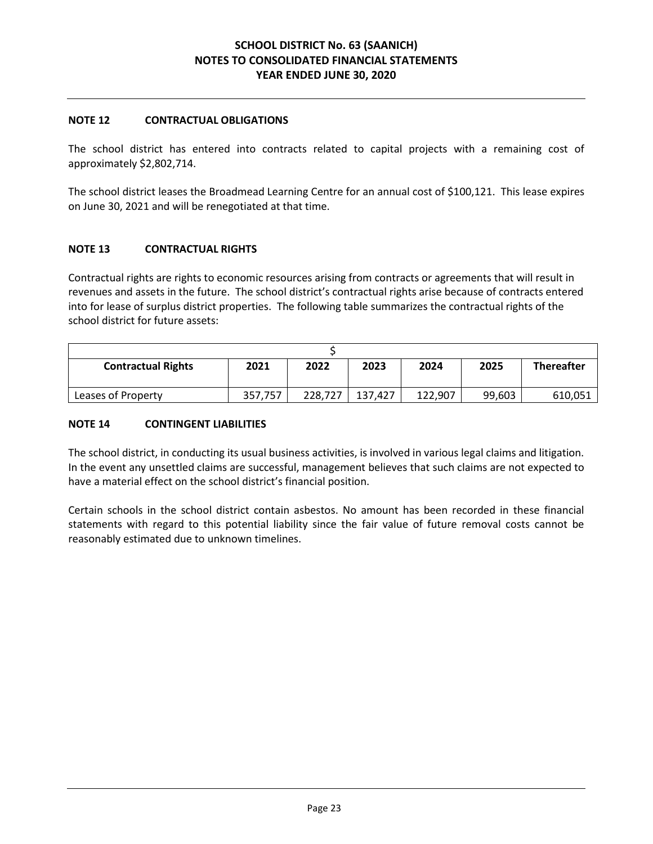#### **NOTE 12 CONTRACTUAL OBLIGATIONS**

The school district has entered into contracts related to capital projects with a remaining cost of approximately \$2,802,714.

The school district leases the Broadmead Learning Centre for an annual cost of \$100,121. This lease expires on June 30, 2021 and will be renegotiated at that time.

#### **NOTE 13 CONTRACTUAL RIGHTS**

Contractual rights are rights to economic resources arising from contracts or agreements that will result in revenues and assets in the future. The school district's contractual rights arise because of contracts entered into for lease of surplus district properties.The following table summarizes the contractual rights of the school district for future assets:

| <b>Contractual Rights</b> | 2021    | 2022    | 2023    | 2024    | 2025   | <b>Thereafter</b> |
|---------------------------|---------|---------|---------|---------|--------|-------------------|
|                           |         |         |         |         |        |                   |
| Leases of Property        | 357,757 | 228.727 | 137,427 | 122.907 | 99,603 | 610,051           |

#### **NOTE 14 CONTINGENT LIABILITIES**

The school district, in conducting its usual business activities, is involved in various legal claims and litigation. In the event any unsettled claims are successful, management believes that such claims are not expected to have a material effect on the school district's financial position.

Certain schools in the school district contain asbestos. No amount has been recorded in these financial statements with regard to this potential liability since the fair value of future removal costs cannot be reasonably estimated due to unknown timelines.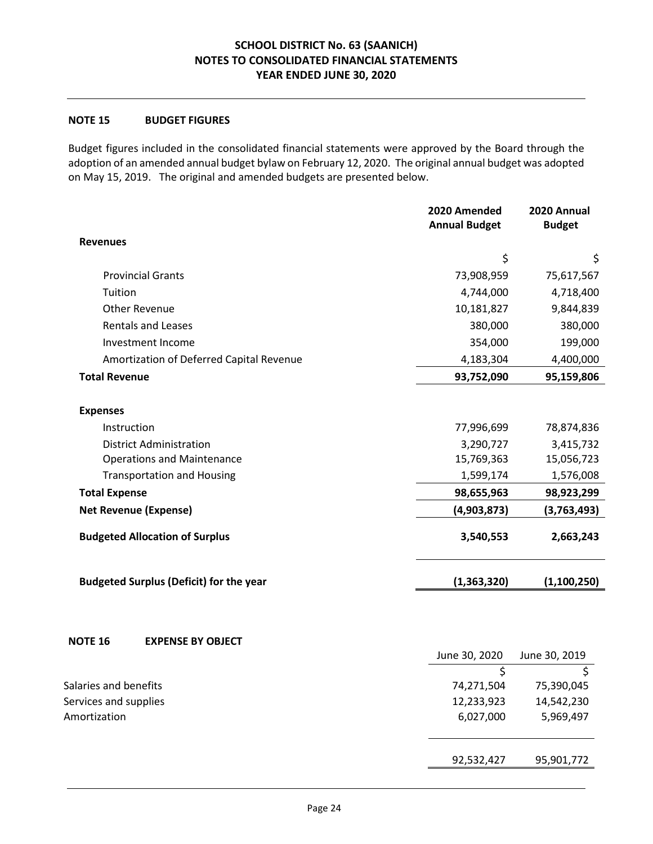#### **NOTE 15 BUDGET FIGURES**

Budget figures included in the consolidated financial statements were approved by the Board through the adoption of an amended annual budget bylaw on February 12, 2020. The original annual budget was adopted on May 15, 2019. The original and amended budgets are presented below.

|                                                | 2020 Amended         | 2020 Annual   |
|------------------------------------------------|----------------------|---------------|
|                                                | <b>Annual Budget</b> | <b>Budget</b> |
| <b>Revenues</b>                                |                      |               |
|                                                | \$                   | \$            |
| <b>Provincial Grants</b>                       | 73,908,959           | 75,617,567    |
| Tuition                                        | 4,744,000            | 4,718,400     |
| Other Revenue                                  | 10,181,827           | 9,844,839     |
| <b>Rentals and Leases</b>                      | 380,000              | 380,000       |
| Investment Income                              | 354,000              | 199,000       |
| Amortization of Deferred Capital Revenue       | 4,183,304            | 4,400,000     |
| <b>Total Revenue</b>                           | 93,752,090           | 95,159,806    |
|                                                |                      |               |
| <b>Expenses</b>                                |                      |               |
| Instruction                                    | 77,996,699           | 78,874,836    |
| <b>District Administration</b>                 | 3,290,727            | 3,415,732     |
| <b>Operations and Maintenance</b>              | 15,769,363           | 15,056,723    |
| <b>Transportation and Housing</b>              | 1,599,174            | 1,576,008     |
| <b>Total Expense</b>                           | 98,655,963           | 98,923,299    |
| <b>Net Revenue (Expense)</b>                   | (4,903,873)          | (3,763,493)   |
| <b>Budgeted Allocation of Surplus</b>          | 3,540,553            | 2,663,243     |
| <b>Budgeted Surplus (Deficit) for the year</b> | (1,363,320)          | (1,100,250)   |

#### **NOTE 16 EXPENSE BY OBJECT**

|                       | June 30, 2020 | June 30, 2019 |
|-----------------------|---------------|---------------|
|                       |               |               |
| Salaries and benefits | 74,271,504    | 75,390,045    |
| Services and supplies | 12,233,923    | 14,542,230    |
| Amortization          | 6,027,000     | 5,969,497     |
|                       |               |               |
|                       | 92,532,427    | 95,901,772    |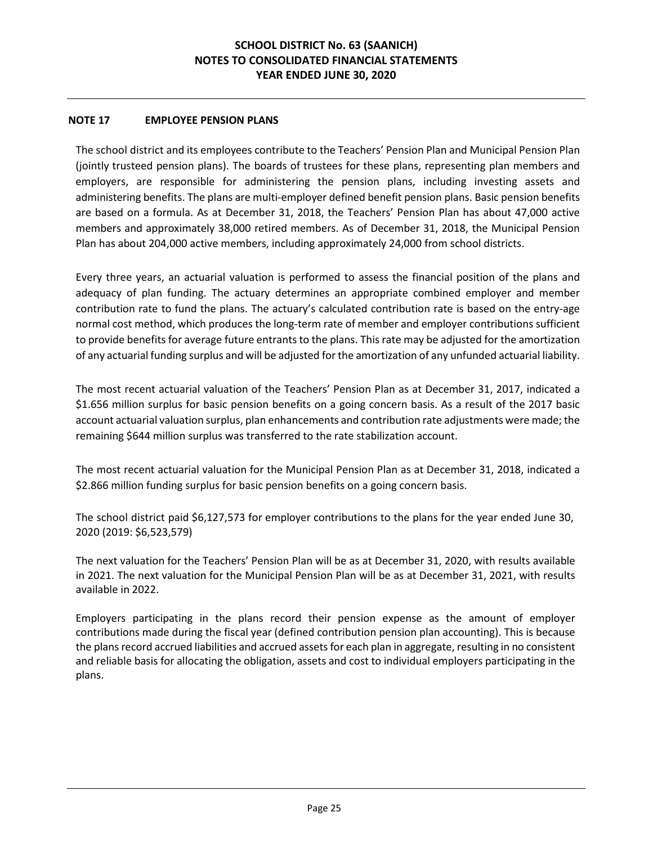#### **NOTE 17 EMPLOYEE PENSION PLANS**

The school district and its employees contribute to the Teachers' Pension Plan and Municipal Pension Plan (jointly trusteed pension plans). The boards of trustees for these plans, representing plan members and employers, are responsible for administering the pension plans, including investing assets and administering benefits. The plans are multi-employer defined benefit pension plans. Basic pension benefits are based on a formula. As at December 31, 2018, the Teachers' Pension Plan has about 47,000 active members and approximately 38,000 retired members. As of December 31, 2018, the Municipal Pension Plan has about 204,000 active members, including approximately 24,000 from school districts.

Every three years, an actuarial valuation is performed to assess the financial position of the plans and adequacy of plan funding. The actuary determines an appropriate combined employer and member contribution rate to fund the plans. The actuary's calculated contribution rate is based on the entry-age normal cost method, which produces the long-term rate of member and employer contributions sufficient to provide benefits for average future entrants to the plans. This rate may be adjusted for the amortization of any actuarial funding surplus and will be adjusted for the amortization of any unfunded actuarial liability.

The most recent actuarial valuation of the Teachers' Pension Plan as at December 31, 2017, indicated a \$1.656 million surplus for basic pension benefits on a going concern basis. As a result of the 2017 basic account actuarial valuation surplus, plan enhancements and contribution rate adjustments were made; the remaining \$644 million surplus was transferred to the rate stabilization account.

The most recent actuarial valuation for the Municipal Pension Plan as at December 31, 2018, indicated a \$2.866 million funding surplus for basic pension benefits on a going concern basis.

The school district paid \$6,127,573 for employer contributions to the plans for the year ended June 30, 2020 (2019: \$6,523,579)

The next valuation for the Teachers' Pension Plan will be as at December 31, 2020, with results available in 2021. The next valuation for the Municipal Pension Plan will be as at December 31, 2021, with results available in 2022.

Employers participating in the plans record their pension expense as the amount of employer contributions made during the fiscal year (defined contribution pension plan accounting). This is because the plans record accrued liabilities and accrued assets for each plan in aggregate, resulting in no consistent and reliable basis for allocating the obligation, assets and cost to individual employers participating in the plans.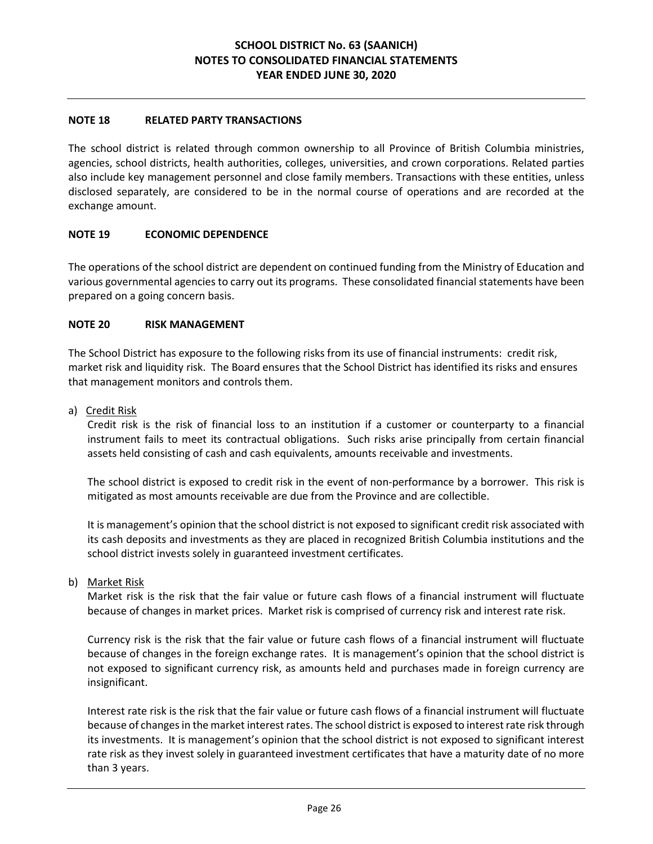#### **NOTE 18 RELATED PARTY TRANSACTIONS**

The school district is related through common ownership to all Province of British Columbia ministries, agencies, school districts, health authorities, colleges, universities, and crown corporations. Related parties also include key management personnel and close family members. Transactions with these entities, unless disclosed separately, are considered to be in the normal course of operations and are recorded at the exchange amount.

#### **NOTE 19 ECONOMIC DEPENDENCE**

The operations of the school district are dependent on continued funding from the Ministry of Education and various governmental agencies to carry out its programs. These consolidated financial statements have been prepared on a going concern basis.

#### **NOTE 20 RISK MANAGEMENT**

The School District has exposure to the following risks from its use of financial instruments: credit risk, market risk and liquidity risk. The Board ensures that the School District has identified its risks and ensures that management monitors and controls them.

a) Credit Risk

Credit risk is the risk of financial loss to an institution if a customer or counterparty to a financial instrument fails to meet its contractual obligations. Such risks arise principally from certain financial assets held consisting of cash and cash equivalents, amounts receivable and investments.

The school district is exposed to credit risk in the event of non-performance by a borrower. This risk is mitigated as most amounts receivable are due from the Province and are collectible.

It is management's opinion that the school district is not exposed to significant credit risk associated with its cash deposits and investments as they are placed in recognized British Columbia institutions and the school district invests solely in guaranteed investment certificates.

#### b) Market Risk

Market risk is the risk that the fair value or future cash flows of a financial instrument will fluctuate because of changes in market prices. Market risk is comprised of currency risk and interest rate risk.

Currency risk is the risk that the fair value or future cash flows of a financial instrument will fluctuate because of changes in the foreign exchange rates. It is management's opinion that the school district is not exposed to significant currency risk, as amounts held and purchases made in foreign currency are insignificant.

Interest rate risk is the risk that the fair value or future cash flows of a financial instrument will fluctuate because of changes in the market interest rates. The school district is exposed to interest rate risk through its investments. It is management's opinion that the school district is not exposed to significant interest rate risk as they invest solely in guaranteed investment certificates that have a maturity date of no more than 3 years.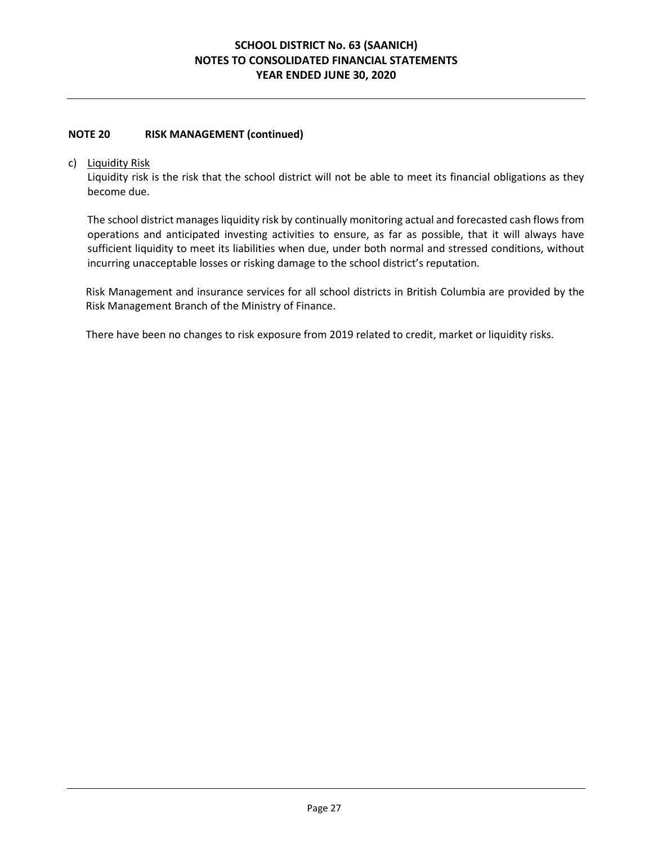#### **NOTE 20 RISK MANAGEMENT (continued)**

#### c) Liquidity Risk

Liquidity risk is the risk that the school district will not be able to meet its financial obligations as they become due.

The school district manages liquidity risk by continually monitoring actual and forecasted cash flows from operations and anticipated investing activities to ensure, as far as possible, that it will always have sufficient liquidity to meet its liabilities when due, under both normal and stressed conditions, without incurring unacceptable losses or risking damage to the school district's reputation.

Risk Management and insurance services for all school districts in British Columbia are provided by the Risk Management Branch of the Ministry of Finance.

There have been no changes to risk exposure from 2019 related to credit, market or liquidity risks.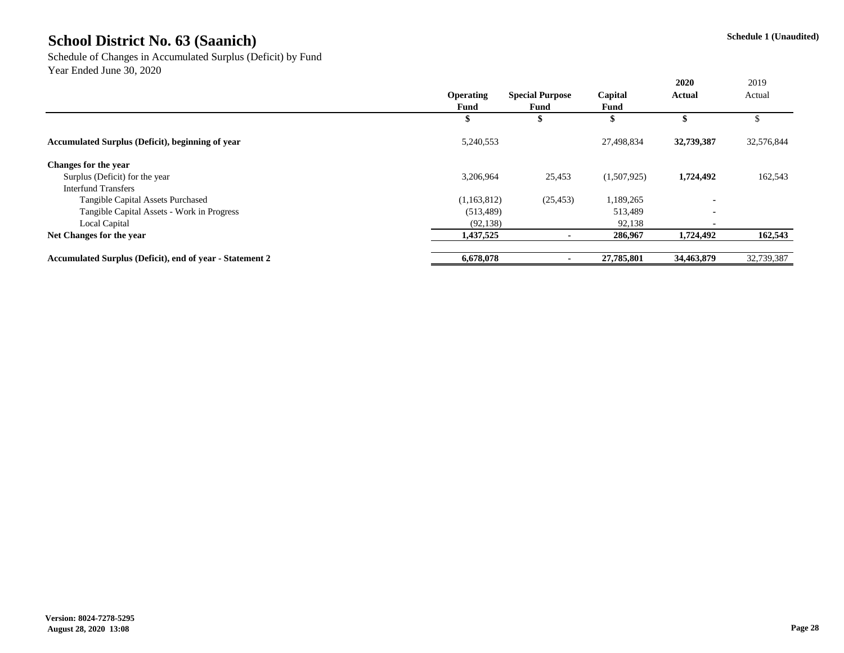Schedule of Changes in Accumulated Surplus (Deficit) by Fund Year Ended June 30, 2020

| $1 \text{ cm}$ Linear sance 50, 2020             |                  |                        |             |               |            |
|--------------------------------------------------|------------------|------------------------|-------------|---------------|------------|
|                                                  |                  |                        |             | 2020          | 2019       |
|                                                  | <b>Operating</b> | <b>Special Purpose</b> | Capital     | <b>Actual</b> | Actual     |
|                                                  | Fund             | Fund                   | Fund        |               |            |
|                                                  |                  |                        |             |               |            |
| Accumulated Surplus (Deficit), beginning of year | 5,240,553        |                        | 27,498,834  | 32,739,387    | 32,576,844 |
| Changes for the year                             |                  |                        |             |               |            |
| Surplus (Deficit) for the year                   | 3,206,964        | 25,453                 | (1,507,925) | 1,724,492     | 162,543    |
| <b>Interfund Transfers</b>                       |                  |                        |             |               |            |
| <b>Tangible Capital Assets Purchased</b>         | (1,163,812)      | (25, 453)              | 1,189,265   |               |            |
| Tangible Capital Assets - Work in Progress       | (513, 489)       |                        | 513.489     |               |            |
| Local Capital                                    | (92, 138)        |                        | 92,138      |               |            |
| Net Changes for the year                         | 1,437,525        | ۰.                     | 286,967     | 1,724,492     | 162,543    |

**Accumulated Surplus (Deficit), end of year - Statement 2** 6,678,078 - 27,785,801 34,463,879 32,739,387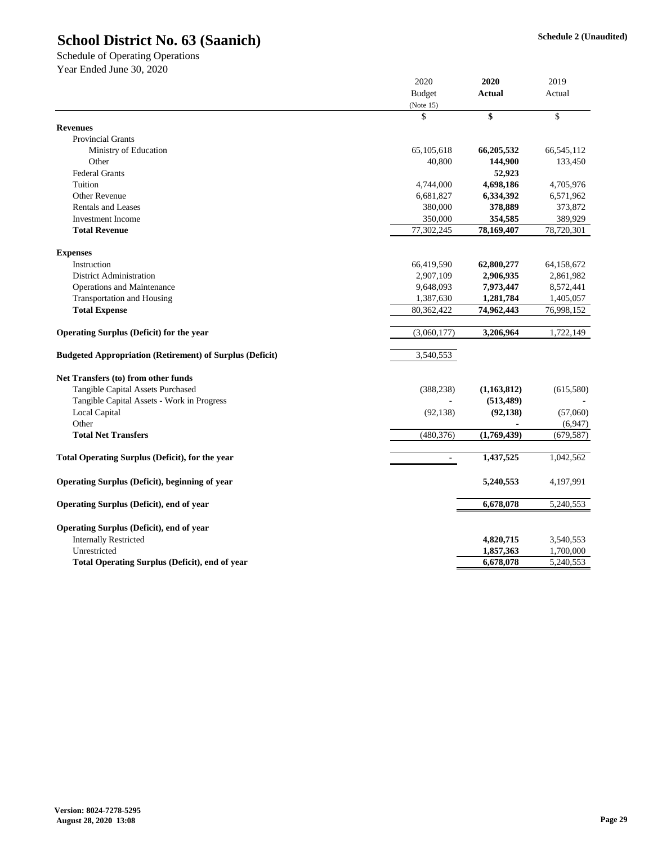Schedule of Operating Operations Year Ended June 30, 2020

|                                                                 | 2020                   | 2020                   | 2019                   |
|-----------------------------------------------------------------|------------------------|------------------------|------------------------|
|                                                                 | <b>Budget</b>          | Actual                 | Actual                 |
|                                                                 | (Note 15)              |                        |                        |
|                                                                 | \$                     | \$                     | \$                     |
| <b>Revenues</b>                                                 |                        |                        |                        |
| <b>Provincial Grants</b>                                        |                        |                        |                        |
| Ministry of Education                                           | 65,105,618             | 66,205,532             | 66,545,112             |
| Other                                                           | 40,800                 | 144,900                | 133,450                |
| <b>Federal Grants</b>                                           |                        | 52,923                 |                        |
| Tuition                                                         | 4,744,000              | 4,698,186              | 4,705,976              |
| Other Revenue                                                   | 6,681,827              | 6,334,392              | 6,571,962              |
| <b>Rentals and Leases</b>                                       | 380,000                | 378,889                | 373,872                |
| <b>Investment</b> Income                                        | 350,000                | 354,585                | 389,929                |
| <b>Total Revenue</b>                                            | 77,302,245             | 78,169,407             | 78,720,301             |
|                                                                 |                        |                        |                        |
| <b>Expenses</b><br>Instruction                                  | 66,419,590             | 62,800,277             | 64,158,672             |
| <b>District Administration</b>                                  |                        |                        | 2,861,982              |
| Operations and Maintenance                                      | 2,907,109              | 2,906,935              |                        |
| Transportation and Housing                                      | 9,648,093<br>1,387,630 | 7,973,447<br>1,281,784 | 8,572,441<br>1,405,057 |
| <b>Total Expense</b>                                            | 80,362,422             | 74,962,443             | 76,998,152             |
|                                                                 |                        |                        |                        |
| Operating Surplus (Deficit) for the year                        | (3,060,177)            | 3,206,964              | 1,722,149              |
| <b>Budgeted Appropriation (Retirement) of Surplus (Deficit)</b> | 3,540,553              |                        |                        |
| Net Transfers (to) from other funds                             |                        |                        |                        |
| Tangible Capital Assets Purchased                               | (388, 238)             | (1,163,812)            | (615,580)              |
| Tangible Capital Assets - Work in Progress                      |                        | (513, 489)             |                        |
| Local Capital                                                   | (92, 138)              | (92, 138)              | (57,060)               |
| Other                                                           |                        |                        | (6,947)                |
| <b>Total Net Transfers</b>                                      | (480, 376)             | (1,769,439)            | (679, 587)             |
|                                                                 |                        |                        |                        |
| <b>Total Operating Surplus (Deficit), for the year</b>          | $\sim$                 | 1,437,525              | 1,042,562              |
| Operating Surplus (Deficit), beginning of year                  |                        | 5,240,553              | 4,197,991              |
| Operating Surplus (Deficit), end of year                        |                        | 6,678,078              | 5,240,553              |
| Operating Surplus (Deficit), end of year                        |                        |                        |                        |
| <b>Internally Restricted</b>                                    |                        | 4,820,715              | 3,540,553              |
| Unrestricted                                                    |                        | 1,857,363              | 1,700,000              |
| <b>Total Operating Surplus (Deficit), end of year</b>           |                        | 6,678,078              | 5,240,553              |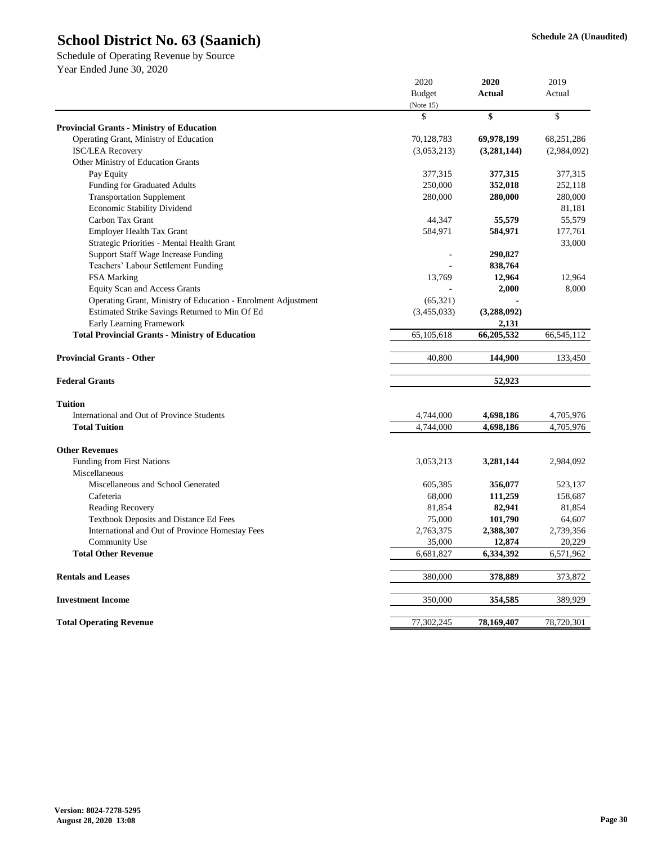Schedule of Operating Revenue by Source Year Ended June 30, 2020

|                                                               | 2020          | 2020          | 2019        |
|---------------------------------------------------------------|---------------|---------------|-------------|
|                                                               | <b>Budget</b> | <b>Actual</b> | Actual      |
|                                                               | (Note 15)     |               |             |
|                                                               | \$            | \$            | \$          |
| <b>Provincial Grants - Ministry of Education</b>              |               |               |             |
| Operating Grant, Ministry of Education                        | 70,128,783    | 69,978,199    | 68,251,286  |
| <b>ISC/LEA Recovery</b>                                       | (3,053,213)   | (3,281,144)   | (2,984,092) |
| Other Ministry of Education Grants                            |               |               |             |
| Pay Equity                                                    | 377,315       | 377,315       | 377,315     |
| Funding for Graduated Adults                                  | 250,000       | 352,018       | 252,118     |
| <b>Transportation Supplement</b>                              | 280,000       | 280,000       | 280,000     |
| Economic Stability Dividend                                   |               |               | 81,181      |
| Carbon Tax Grant                                              | 44,347        | 55,579        | 55,579      |
| <b>Employer Health Tax Grant</b>                              | 584,971       | 584,971       | 177,761     |
| Strategic Priorities - Mental Health Grant                    |               |               | 33,000      |
| Support Staff Wage Increase Funding                           |               | 290,827       |             |
| Teachers' Labour Settlement Funding                           |               | 838,764       |             |
| <b>FSA Marking</b>                                            | 13,769        | 12,964        | 12,964      |
| <b>Equity Scan and Access Grants</b>                          |               | 2,000         | 8,000       |
| Operating Grant, Ministry of Education - Enrolment Adjustment | (65, 321)     |               |             |
| Estimated Strike Savings Returned to Min Of Ed                | (3,455,033)   | (3,288,092)   |             |
| Early Learning Framework                                      |               | 2,131         |             |
| <b>Total Provincial Grants - Ministry of Education</b>        | 65,105,618    | 66,205,532    | 66,545,112  |
|                                                               |               |               |             |
| <b>Provincial Grants - Other</b>                              | 40.800        | 144,900       | 133,450     |
| <b>Federal Grants</b>                                         |               | 52,923        |             |
| <b>Tuition</b>                                                |               |               |             |
| International and Out of Province Students                    | 4,744,000     | 4,698,186     | 4,705,976   |
| <b>Total Tuition</b>                                          | 4,744,000     | 4,698,186     | 4,705,976   |
|                                                               |               |               |             |
| <b>Other Revenues</b>                                         |               |               |             |
| Funding from First Nations                                    | 3,053,213     | 3,281,144     | 2,984,092   |
| Miscellaneous                                                 |               |               |             |
| Miscellaneous and School Generated                            | 605,385       | 356,077       | 523,137     |
| Cafeteria                                                     | 68,000        | 111,259       | 158,687     |
| Reading Recovery                                              | 81,854        | 82,941        | 81,854      |
| Textbook Deposits and Distance Ed Fees                        | 75,000        | 101,790       | 64,607      |
| International and Out of Province Homestay Fees               | 2,763,375     | 2,388,307     | 2,739,356   |
| <b>Community Use</b>                                          | 35,000        | 12,874        | 20,229      |
| <b>Total Other Revenue</b>                                    | 6,681,827     | 6,334,392     | 6,571,962   |
| <b>Rentals and Leases</b>                                     | 380,000       | 378,889       | 373,872     |
| <b>Investment Income</b>                                      | 350,000       | 354,585       | 389,929     |
|                                                               |               |               |             |
| <b>Total Operating Revenue</b>                                | 77,302,245    | 78,169,407    | 78,720,301  |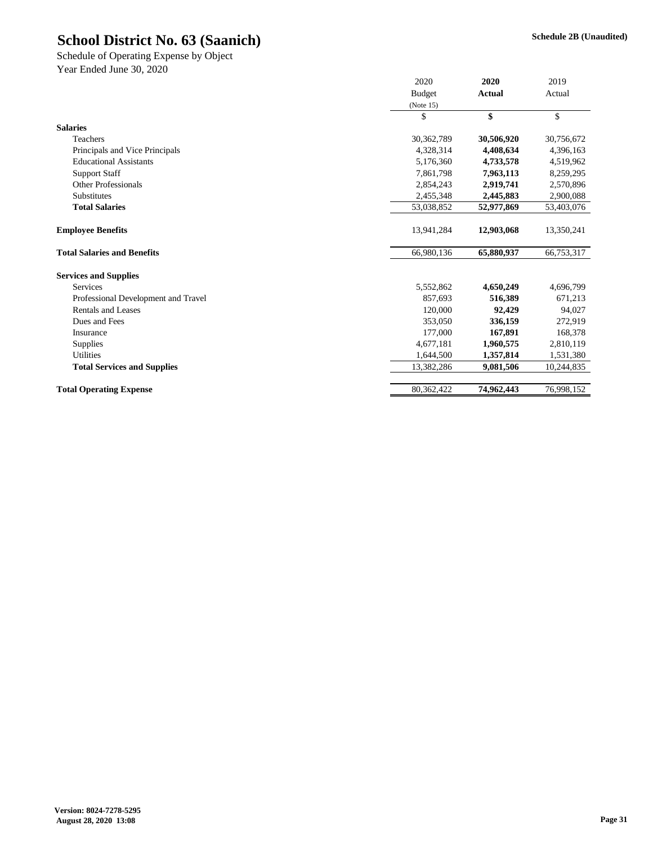Year Ended June 30, 2020 Schedule of Operating Expense by Object

|                                     | 2020          | 2020          | 2019         |
|-------------------------------------|---------------|---------------|--------------|
|                                     | <b>Budget</b> | <b>Actual</b> | Actual       |
|                                     | (Note 15)     |               |              |
|                                     | \$            | \$            | $\mathbb{S}$ |
| <b>Salaries</b>                     |               |               |              |
| <b>Teachers</b>                     | 30, 362, 789  | 30,506,920    | 30,756,672   |
| Principals and Vice Principals      | 4,328,314     | 4,408,634     | 4,396,163    |
| <b>Educational Assistants</b>       | 5,176,360     | 4,733,578     | 4,519,962    |
| <b>Support Staff</b>                | 7,861,798     | 7,963,113     | 8,259,295    |
| <b>Other Professionals</b>          | 2,854,243     | 2,919,741     | 2,570,896    |
| Substitutes                         | 2,455,348     | 2,445,883     | 2,900,088    |
| <b>Total Salaries</b>               | 53,038,852    | 52,977,869    | 53,403,076   |
| <b>Employee Benefits</b>            | 13,941,284    | 12,903,068    | 13,350,241   |
| <b>Total Salaries and Benefits</b>  | 66,980,136    | 65,880,937    | 66,753,317   |
| <b>Services and Supplies</b>        |               |               |              |
| Services                            | 5,552,862     | 4,650,249     | 4,696,799    |
| Professional Development and Travel | 857,693       | 516,389       | 671,213      |
| Rentals and Leases                  | 120,000       | 92,429        | 94,027       |
| Dues and Fees                       | 353,050       | 336,159       | 272,919      |
| Insurance                           | 177,000       | 167,891       | 168,378      |
| <b>Supplies</b>                     | 4,677,181     | 1,960,575     | 2,810,119    |
| <b>Utilities</b>                    | 1,644,500     | 1,357,814     | 1,531,380    |
| <b>Total Services and Supplies</b>  | 13,382,286    | 9,081,506     | 10,244,835   |
| <b>Total Operating Expense</b>      | 80,362,422    | 74,962,443    | 76,998,152   |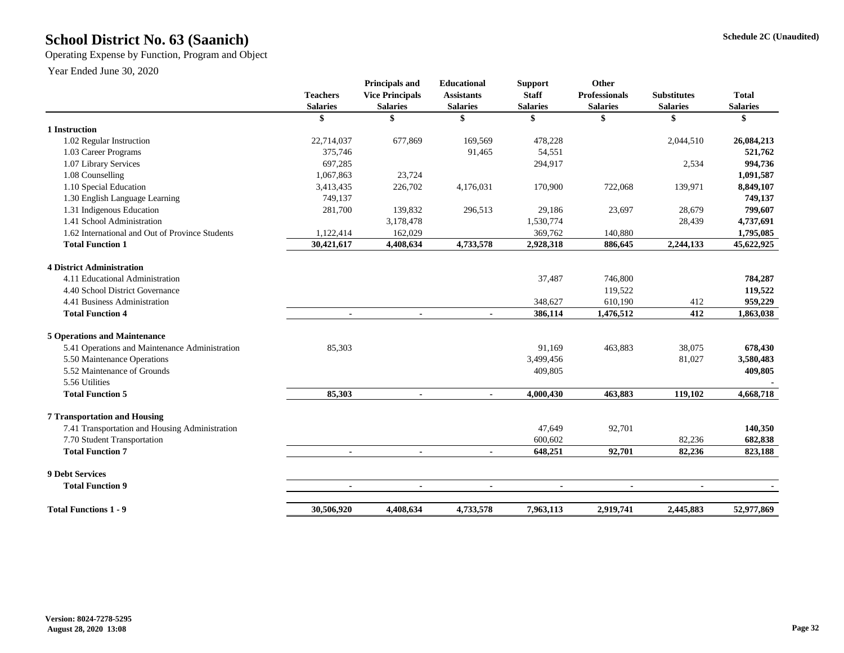### **Schedule 2C (Unaudited) School District No. 63 (Saanich)**

Operating Expense by Function, Program and Object

|                                                 | <b>Teachers</b><br><b>Salaries</b> | Principals and<br><b>Vice Principals</b><br><b>Salaries</b> | Educational<br><b>Assistants</b><br><b>Salaries</b> | <b>Support</b><br><b>Staff</b><br><b>Salaries</b> | Other<br><b>Professionals</b><br><b>Salaries</b> | <b>Substitutes</b><br><b>Salaries</b> | <b>Total</b><br><b>Salaries</b> |
|-------------------------------------------------|------------------------------------|-------------------------------------------------------------|-----------------------------------------------------|---------------------------------------------------|--------------------------------------------------|---------------------------------------|---------------------------------|
|                                                 | \$                                 | \$                                                          | \$                                                  | \$                                                | \$                                               | \$                                    | \$                              |
| 1 Instruction                                   |                                    |                                                             |                                                     |                                                   |                                                  |                                       |                                 |
| 1.02 Regular Instruction                        | 22,714,037                         | 677,869                                                     | 169,569                                             | 478,228                                           |                                                  | 2,044,510                             | 26,084,213                      |
| 1.03 Career Programs                            | 375,746                            |                                                             | 91,465                                              | 54,551                                            |                                                  |                                       | 521,762                         |
| 1.07 Library Services                           | 697,285                            |                                                             |                                                     | 294,917                                           |                                                  | 2,534                                 | 994,736                         |
| 1.08 Counselling                                | 1,067,863                          | 23,724                                                      |                                                     |                                                   |                                                  |                                       | 1,091,587                       |
| 1.10 Special Education                          | 3,413,435                          | 226,702                                                     | 4,176,031                                           | 170,900                                           | 722,068                                          | 139,971                               | 8,849,107                       |
| 1.30 English Language Learning                  | 749,137                            |                                                             |                                                     |                                                   |                                                  |                                       | 749,137                         |
| 1.31 Indigenous Education                       | 281,700                            | 139,832                                                     | 296,513                                             | 29,186                                            | 23,697                                           | 28,679                                | 799,607                         |
| 1.41 School Administration                      |                                    | 3,178,478                                                   |                                                     | 1,530,774                                         |                                                  | 28,439                                | 4,737,691                       |
| 1.62 International and Out of Province Students | 1,122,414                          | 162,029                                                     |                                                     | 369,762                                           | 140,880                                          |                                       | 1,795,085                       |
| <b>Total Function 1</b>                         | 30,421,617                         | 4,408,634                                                   | 4,733,578                                           | 2,928,318                                         | 886,645                                          | 2,244,133                             | 45,622,925                      |
| <b>4 District Administration</b>                |                                    |                                                             |                                                     |                                                   |                                                  |                                       |                                 |
| 4.11 Educational Administration                 |                                    |                                                             |                                                     | 37,487                                            | 746,800                                          |                                       | 784,287                         |
| 4.40 School District Governance                 |                                    |                                                             |                                                     |                                                   | 119,522                                          |                                       | 119,522                         |
| 4.41 Business Administration                    |                                    |                                                             |                                                     | 348,627                                           | 610,190                                          | 412                                   | 959,229                         |
| <b>Total Function 4</b>                         | $\blacksquare$                     | $\blacksquare$                                              | $\blacksquare$                                      | 386,114                                           | 1,476,512                                        | 412                                   | 1,863,038                       |
| <b>5 Operations and Maintenance</b>             |                                    |                                                             |                                                     |                                                   |                                                  |                                       |                                 |
| 5.41 Operations and Maintenance Administration  | 85,303                             |                                                             |                                                     | 91.169                                            | 463,883                                          | 38,075                                | 678,430                         |
| 5.50 Maintenance Operations                     |                                    |                                                             |                                                     | 3,499,456                                         |                                                  | 81,027                                | 3,580,483                       |
| 5.52 Maintenance of Grounds                     |                                    |                                                             |                                                     | 409,805                                           |                                                  |                                       | 409,805                         |
| 5.56 Utilities                                  |                                    |                                                             |                                                     |                                                   |                                                  |                                       |                                 |
| <b>Total Function 5</b>                         | 85,303                             | $\blacksquare$                                              | $\blacksquare$                                      | 4,000,430                                         | 463,883                                          | 119,102                               | 4,668,718                       |
| <b>7 Transportation and Housing</b>             |                                    |                                                             |                                                     |                                                   |                                                  |                                       |                                 |
| 7.41 Transportation and Housing Administration  |                                    |                                                             |                                                     | 47,649                                            | 92,701                                           |                                       | 140,350                         |
| 7.70 Student Transportation                     |                                    |                                                             |                                                     | 600,602                                           |                                                  | 82,236                                | 682,838                         |
| <b>Total Function 7</b>                         | $\blacksquare$                     | $\blacksquare$                                              | $\blacksquare$                                      | 648,251                                           | 92,701                                           | 82,236                                | 823,188                         |
| <b>9 Debt Services</b>                          |                                    |                                                             |                                                     |                                                   |                                                  |                                       |                                 |
| <b>Total Function 9</b>                         | $\blacksquare$                     | $\blacksquare$                                              | $\sim$                                              | $\blacksquare$                                    | $\blacksquare$                                   |                                       |                                 |
|                                                 |                                    |                                                             |                                                     |                                                   |                                                  |                                       |                                 |
| <b>Total Functions 1 - 9</b>                    | 30,506,920                         | 4,408,634                                                   | 4,733,578                                           | 7,963,113                                         | 2,919,741                                        | 2,445,883                             | 52,977,869                      |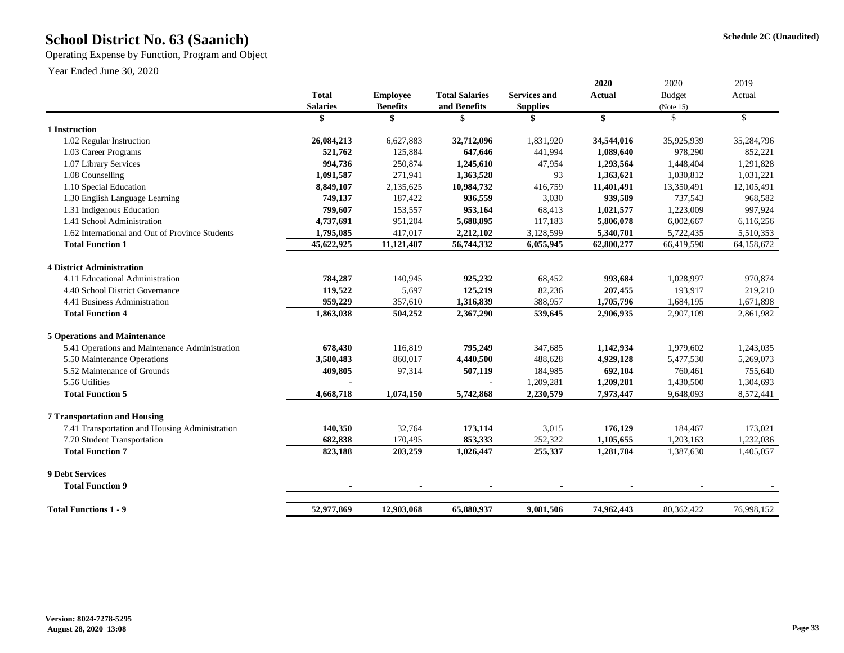### **Schedule 2C (Unaudited) School District No. 63 (Saanich)**

Operating Expense by Function, Program and Object

|                                                 |                 |                        |                       |                     | 2020           | 2020          | 2019          |
|-------------------------------------------------|-----------------|------------------------|-----------------------|---------------------|----------------|---------------|---------------|
|                                                 | <b>Total</b>    | <b>Employee</b>        | <b>Total Salaries</b> | <b>Services and</b> | Actual         | <b>Budget</b> | Actual        |
|                                                 | <b>Salaries</b> | <b>Benefits</b>        | and Benefits          | <b>Supplies</b>     |                | (Note 15)     |               |
|                                                 | \$              | \$                     | \$                    | \$                  | $\mathbf{\$}$  | \$            | $\mathsf{\$}$ |
| 1 Instruction                                   |                 |                        |                       |                     |                |               |               |
| 1.02 Regular Instruction                        | 26,084,213      | 6,627,883              | 32,712,096            | 1,831,920           | 34,544,016     | 35,925,939    | 35,284,796    |
| 1.03 Career Programs                            | 521,762         | 125,884                | 647,646               | 441,994             | 1,089,640      | 978,290       | 852,221       |
| 1.07 Library Services                           | 994,736         | 250,874                | 1,245,610             | 47,954              | 1,293,564      | 1,448,404     | 1,291,828     |
| 1.08 Counselling                                | 1,091,587       | 271,941                | 1,363,528             | 93                  | 1,363,621      | 1,030,812     | 1,031,221     |
| 1.10 Special Education                          | 8,849,107       | 2,135,625              | 10,984,732            | 416,759             | 11,401,491     | 13,350,491    | 12,105,491    |
| 1.30 English Language Learning                  | 749,137         | 187,422                | 936,559               | 3,030               | 939,589        | 737,543       | 968,582       |
| 1.31 Indigenous Education                       | 799,607         | 153,557                | 953,164               | 68,413              | 1,021,577      | 1,223,009     | 997,924       |
| 1.41 School Administration                      | 4,737,691       | 951,204                | 5,688,895             | 117,183             | 5,806,078      | 6,002,667     | 6,116,256     |
| 1.62 International and Out of Province Students | 1,795,085       | 417,017                | 2,212,102             | 3,128,599           | 5,340,701      | 5,722,435     | 5,510,353     |
| <b>Total Function 1</b>                         | 45,622,925      | 11,121,407             | 56,744,332            | 6,055,945           | 62,800,277     | 66,419,590    | 64,158,672    |
| <b>4 District Administration</b>                |                 |                        |                       |                     |                |               |               |
| 4.11 Educational Administration                 | 784,287         | 140,945                | 925,232               | 68,452              | 993,684        | 1,028,997     | 970,874       |
| 4.40 School District Governance                 | 119,522         | 5,697                  | 125,219               | 82,236              | 207,455        | 193,917       | 219,210       |
| 4.41 Business Administration                    | 959,229         | 357,610                | 1,316,839             | 388,957             | 1,705,796      | 1,684,195     | 1,671,898     |
| <b>Total Function 4</b>                         | 1,863,038       | 504,252                | 2,367,290             | 539,645             | 2,906,935      | 2,907,109     | 2,861,982     |
| <b>5 Operations and Maintenance</b>             |                 |                        |                       |                     |                |               |               |
| 5.41 Operations and Maintenance Administration  | 678,430         | 116,819                | 795,249               | 347,685             | 1,142,934      | 1,979,602     | 1,243,035     |
| 5.50 Maintenance Operations                     | 3,580,483       | 860,017                | 4,440,500             | 488,628             | 4,929,128      | 5,477,530     | 5,269,073     |
| 5.52 Maintenance of Grounds                     | 409,805         | 97,314                 | 507,119               | 184,985             | 692,104        | 760,461       | 755,640       |
| 5.56 Utilities                                  |                 |                        |                       | 1,209,281           | 1,209,281      | 1,430,500     | 1,304,693     |
| <b>Total Function 5</b>                         | 4,668,718       | $\overline{1,074,150}$ | 5,742,868             | 2,230,579           | 7,973,447      | 9,648,093     | 8,572,441     |
| <b>7 Transportation and Housing</b>             |                 |                        |                       |                     |                |               |               |
| 7.41 Transportation and Housing Administration  | 140,350         | 32,764                 | 173,114               | 3,015               | 176,129        | 184,467       | 173,021       |
| 7.70 Student Transportation                     | 682,838         | 170,495                | 853,333               | 252,322             | 1,105,655      | 1,203,163     | 1,232,036     |
| <b>Total Function 7</b>                         | 823,188         | 203,259                | 1,026,447             | 255,337             | 1,281,784      | 1,387,630     | 1,405,057     |
|                                                 |                 |                        |                       |                     |                |               |               |
| <b>9 Debt Services</b>                          |                 |                        |                       |                     |                |               |               |
| <b>Total Function 9</b>                         | $\sim$          | $\blacksquare$         | $\blacksquare$        | $\blacksquare$      | $\blacksquare$ | $\sim$        |               |
| <b>Total Functions 1 - 9</b>                    | 52,977,869      | 12,903,068             | 65,880,937            | 9,081,506           | 74,962,443     | 80,362,422    | 76,998,152    |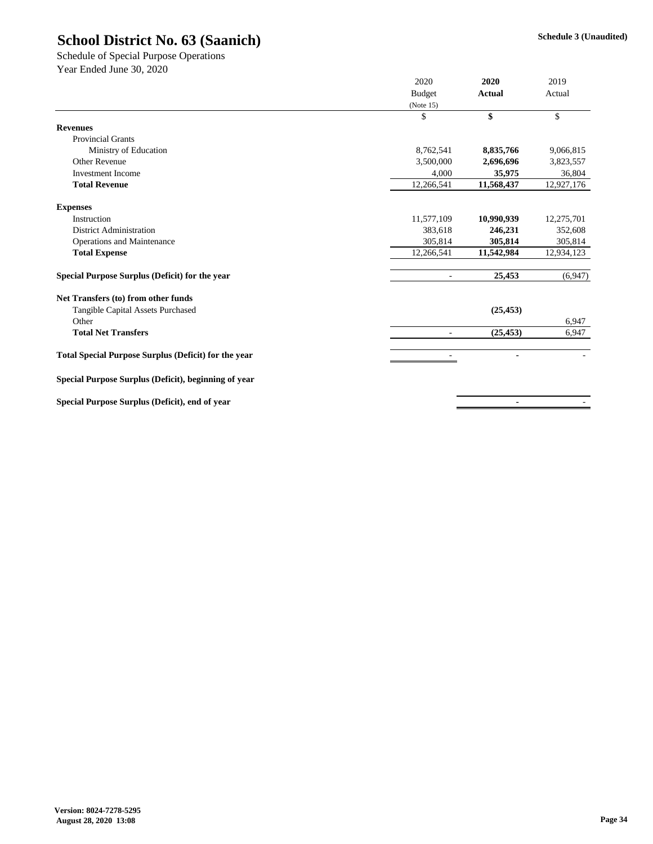Schedule of Special Purpose Operations

|                                                             | 2020          | 2020          | 2019       |
|-------------------------------------------------------------|---------------|---------------|------------|
|                                                             | <b>Budget</b> | <b>Actual</b> | Actual     |
|                                                             | (Note 15)     |               |            |
|                                                             | \$            | \$            | \$         |
| <b>Revenues</b>                                             |               |               |            |
| <b>Provincial Grants</b>                                    |               |               |            |
| Ministry of Education                                       | 8,762,541     | 8,835,766     | 9,066,815  |
| Other Revenue                                               | 3,500,000     | 2,696,696     | 3,823,557  |
| <b>Investment Income</b>                                    | 4,000         | 35,975        | 36,804     |
| <b>Total Revenue</b>                                        | 12,266,541    | 11,568,437    | 12,927,176 |
| <b>Expenses</b>                                             |               |               |            |
| Instruction                                                 | 11,577,109    | 10,990,939    | 12,275,701 |
| <b>District Administration</b>                              | 383,618       | 246,231       | 352,608    |
| Operations and Maintenance                                  | 305,814       | 305,814       | 305,814    |
| <b>Total Expense</b>                                        | 12,266,541    | 11,542,984    | 12,934,123 |
| Special Purpose Surplus (Deficit) for the year              | ÷.            | 25,453        | (6,947)    |
| Net Transfers (to) from other funds                         |               |               |            |
| Tangible Capital Assets Purchased                           |               | (25, 453)     |            |
| Other                                                       |               |               | 6,947      |
| <b>Total Net Transfers</b>                                  |               | (25, 453)     | 6,947      |
| <b>Total Special Purpose Surplus (Deficit) for the year</b> |               |               |            |
| Special Purpose Surplus (Deficit), beginning of year        |               |               |            |
| Special Purpose Surplus (Deficit), end of year              |               |               |            |
|                                                             |               |               |            |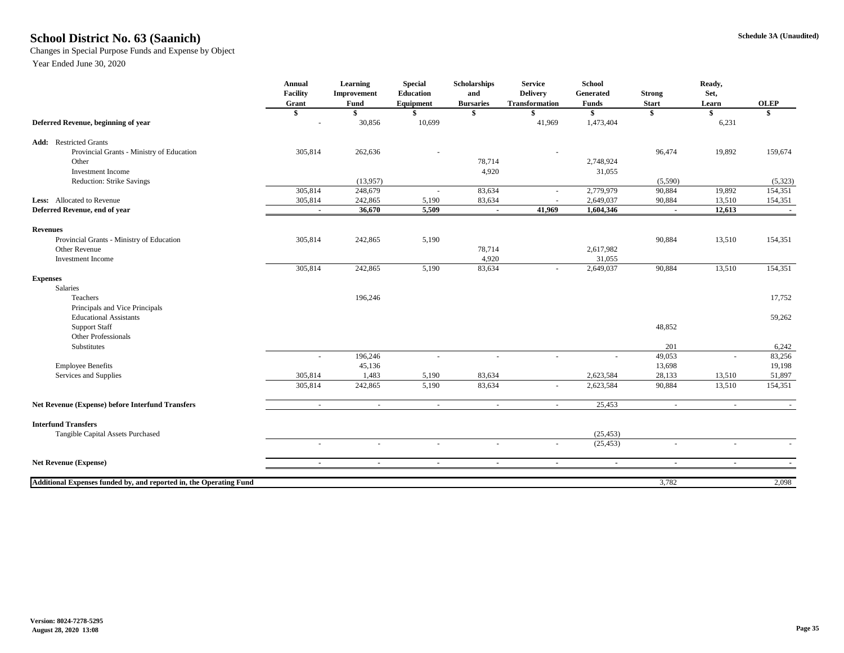#### **Schedule 3A (Unaudited) School District No. 63 (Saanich)**

|                                                                    | <b>Facility</b><br>Grant | Improvement<br>Fund | <b>Education</b><br><b>Equipment</b> | and<br><b>Bursaries</b> | <b>Delivery</b><br><b>Transformation</b> | Generated<br><b>Funds</b> | <b>Strong</b><br><b>Start</b> | Set,<br>Learn | <b>OLEP</b> |
|--------------------------------------------------------------------|--------------------------|---------------------|--------------------------------------|-------------------------|------------------------------------------|---------------------------|-------------------------------|---------------|-------------|
|                                                                    | \$                       | \$                  | \$                                   | \$                      | s.                                       | \$                        | \$                            | \$            | \$          |
| Deferred Revenue, beginning of year                                |                          | 30,856              | 10,699                               |                         | 41,969                                   | 1,473,404                 |                               | 6,231         |             |
| Add: Restricted Grants                                             |                          |                     |                                      |                         |                                          |                           |                               |               |             |
| Provincial Grants - Ministry of Education                          | 305,814                  | 262,636             |                                      |                         |                                          |                           | 96,474                        | 19,892        | 159,674     |
| Other                                                              |                          |                     |                                      | 78,714                  |                                          | 2,748,924                 |                               |               |             |
| Investment Income                                                  |                          |                     |                                      | 4,920                   |                                          | 31,055                    |                               |               |             |
| Reduction: Strike Savings                                          |                          | (13,957)            |                                      |                         |                                          |                           | (5,590)                       |               | (5,323)     |
|                                                                    | 305,814                  | 248,679             |                                      | 83,634                  | $\overline{\phantom{a}}$                 | 2,779,979                 | 90,884                        | 19,892        | 154,351     |
| Less: Allocated to Revenue                                         | 305,814                  | 242,865             | 5,190                                | 83,634                  |                                          | 2,649,037                 | 90,884                        | 13,510        | 154,351     |
| Deferred Revenue, end of year                                      | $\blacksquare$           | 36,670              | 5,509                                | $\overline{a}$          | 41,969                                   | 1,604,346                 | $\sim$                        | 12,613        | $\sim$      |
| <b>Revenues</b>                                                    |                          |                     |                                      |                         |                                          |                           |                               |               |             |
| Provincial Grants - Ministry of Education                          | 305,814                  | 242,865             | 5,190                                |                         |                                          |                           | 90,884                        | 13,510        | 154,351     |
| Other Revenue                                                      |                          |                     |                                      | 78,714                  |                                          | 2,617,982                 |                               |               |             |
| Investment Income                                                  |                          |                     |                                      | 4,920                   |                                          | 31,055                    |                               |               |             |
|                                                                    | 305,814                  | 242,865             | 5,190                                | 83,634                  | $\sim$                                   | 2,649,037                 | 90,884                        | 13,510        | 154,351     |
| <b>Expenses</b>                                                    |                          |                     |                                      |                         |                                          |                           |                               |               |             |
| Salaries                                                           |                          |                     |                                      |                         |                                          |                           |                               |               |             |
| Teachers<br>Principals and Vice Principals                         |                          | 196,246             |                                      |                         |                                          |                           |                               |               | 17,752      |
| <b>Educational Assistants</b>                                      |                          |                     |                                      |                         |                                          |                           |                               |               | 59,262      |
| <b>Support Staff</b>                                               |                          |                     |                                      |                         |                                          |                           | 48,852                        |               |             |
| Other Professionals                                                |                          |                     |                                      |                         |                                          |                           |                               |               |             |
| Substitutes                                                        |                          |                     |                                      |                         |                                          |                           | 201                           |               | 6,242       |
|                                                                    | $\sim$                   | 196,246             | $\sim$                               | $\sim$                  | $\sim$                                   | $\sim$                    | 49,053                        | $\sim$        | 83,256      |
| <b>Employee Benefits</b>                                           |                          | 45,136              |                                      |                         |                                          |                           | 13,698                        |               | 19,198      |
| Services and Supplies                                              | 305,814                  | 1,483               | 5,190                                | 83,634                  |                                          | 2,623,584                 | 28,133                        | 13,510        | 51,897      |
|                                                                    | 305,814                  | 242,865             | 5,190                                | 83,634                  |                                          | 2,623,584                 | 90,884                        | 13,510        | 154,351     |
| Net Revenue (Expense) before Interfund Transfers                   | $\sim$                   | $\sim$              | $\sim$                               | $\sim$                  | $\sim$                                   | 25,453                    | $\sim$                        | $\sim$        | $\sim$      |
|                                                                    |                          |                     |                                      |                         |                                          |                           |                               |               |             |
| <b>Interfund Transfers</b>                                         |                          |                     |                                      |                         |                                          |                           |                               |               |             |
| Tangible Capital Assets Purchased                                  |                          |                     |                                      |                         |                                          | (25, 453)                 |                               |               |             |
|                                                                    | $\sim$                   | $\sim$              | $\sim$                               | $\sim$                  | $\sim$                                   | (25, 453)                 | $\sim$                        | $\sim$        |             |
| <b>Net Revenue (Expense)</b>                                       | $\sim$                   | $\sim$              | $\sim$                               | $\blacksquare$          | $\sim$                                   | $\sim$                    | $\overline{\phantom{a}}$      | $\sim$        | $\sim$      |
| Additional Expenses funded by, and reported in, the Operating Fund |                          |                     |                                      |                         |                                          |                           | 3,782                         |               | 2,098       |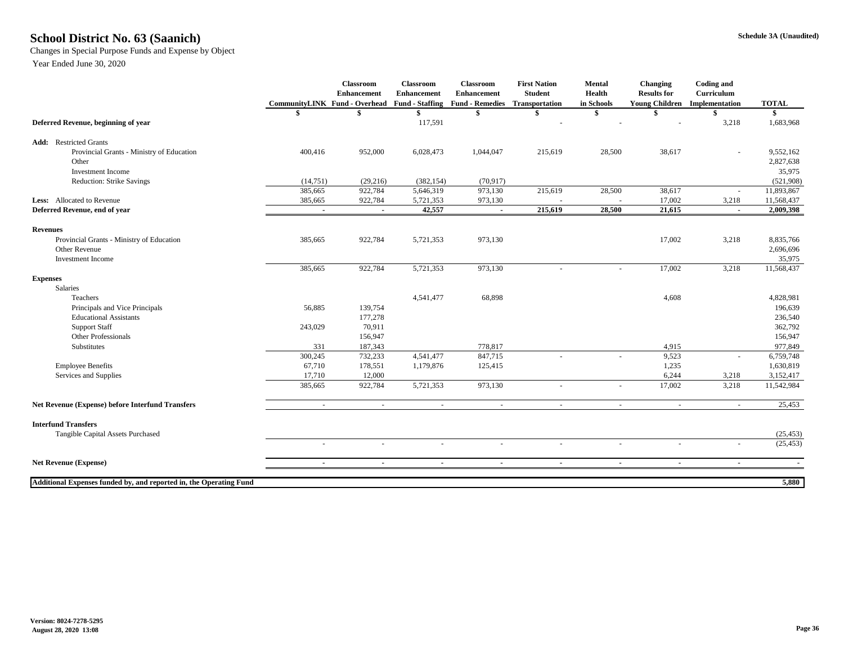#### **Schedule 3A (Unaudited) School District No. 63 (Saanich)**

Changes in Special Purpose Funds and Expense by Object

|                                                                    |                | <b>Classroom</b><br><b>Enhancement</b>        | <b>Classroom</b><br><b>Enhancement</b> | <b>Classroom</b><br><b>Enhancement</b> | <b>First Nation</b><br><b>Student</b> | <b>Mental</b><br>Health | Changing<br><b>Results for</b> | <b>Coding and</b><br>Curriculum |                          |
|--------------------------------------------------------------------|----------------|-----------------------------------------------|----------------------------------------|----------------------------------------|---------------------------------------|-------------------------|--------------------------------|---------------------------------|--------------------------|
|                                                                    |                | CommunityLINK Fund - Overhead Fund - Staffing |                                        | <b>Fund - Remedies Transportation</b>  |                                       | in Schools              | <b>Young Children</b>          | Implementation                  | <b>TOTAL</b>             |
|                                                                    | \$             | \$                                            | \$                                     | \$                                     | \$                                    | -\$                     | \$                             | \$                              | \$                       |
| Deferred Revenue, beginning of year                                |                |                                               | 117,591                                |                                        |                                       |                         |                                | 3,218                           | 1,683,968                |
| <b>Add:</b> Restricted Grants                                      |                |                                               |                                        |                                        |                                       |                         |                                |                                 |                          |
| Provincial Grants - Ministry of Education                          | 400,416        | 952,000                                       | 6,028,473                              | 1,044,047                              | 215,619                               | 28,500                  | 38,617                         |                                 | 9,552,162                |
| Other                                                              |                |                                               |                                        |                                        |                                       |                         |                                |                                 | 2,827,638                |
| Investment Income                                                  |                |                                               |                                        |                                        |                                       |                         |                                |                                 | 35,975                   |
| <b>Reduction: Strike Savings</b>                                   | (14, 751)      | (29,216)                                      | (382, 154)                             | (70, 917)                              |                                       |                         |                                |                                 | (521,908)                |
|                                                                    | 385,665        | 922,784                                       | 5,646,319                              | 973,130                                | 215,619                               | 28,500                  | 38,617                         | $\sim$                          | 11,893,867               |
| <b>Less:</b> Allocated to Revenue                                  | 385,665        | 922,784                                       | 5,721,353                              | 973,130                                |                                       |                         | 17,002                         | 3,218                           | 11,568,437               |
| Deferred Revenue, end of year                                      | $\blacksquare$ | $\blacksquare$                                | 42,557                                 | $\overline{\phantom{a}}$               | 215,619                               | 28,500                  | 21,615                         | $\sim$                          | 2,009,398                |
| <b>Revenues</b>                                                    |                |                                               |                                        |                                        |                                       |                         |                                |                                 |                          |
| Provincial Grants - Ministry of Education                          | 385,665        | 922,784                                       | 5,721,353                              | 973,130                                |                                       |                         | 17,002                         | 3,218                           | 8,835,766                |
| Other Revenue                                                      |                |                                               |                                        |                                        |                                       |                         |                                |                                 | 2,696,696                |
| <b>Investment Income</b>                                           |                |                                               |                                        |                                        |                                       |                         |                                |                                 | 35,975                   |
|                                                                    | 385,665        | 922,784                                       | 5,721,353                              | 973,130                                | $\overline{a}$                        | $\overline{a}$          | 17,002                         | 3,218                           | 11,568,437               |
| <b>Expenses</b>                                                    |                |                                               |                                        |                                        |                                       |                         |                                |                                 |                          |
| Salaries                                                           |                |                                               |                                        |                                        |                                       |                         |                                |                                 |                          |
| Teachers                                                           |                |                                               | 4,541,477                              | 68,898                                 |                                       |                         | 4,608                          |                                 | 4,828,981                |
| Principals and Vice Principals                                     | 56,885         | 139,754                                       |                                        |                                        |                                       |                         |                                |                                 | 196,639                  |
| <b>Educational Assistants</b>                                      |                | 177,278                                       |                                        |                                        |                                       |                         |                                |                                 | 236,540                  |
| <b>Support Staff</b>                                               | 243,029        | 70,911                                        |                                        |                                        |                                       |                         |                                |                                 | 362,792                  |
| Other Professionals                                                |                | 156,947                                       |                                        |                                        |                                       |                         |                                |                                 | 156,947                  |
| Substitutes                                                        | 331            | 187,343                                       |                                        | 778,817                                |                                       |                         | 4,915                          |                                 | 977,849                  |
|                                                                    | 300,245        | 732,233                                       | 4,541,477                              | 847,715                                |                                       | ÷                       | 9,523                          | $\sim$                          | 6,759,748                |
| <b>Employee Benefits</b>                                           | 67,710         | 178,551                                       | 1,179,876                              | 125,415                                |                                       |                         | 1,235                          |                                 | 1,630,819                |
| Services and Supplies                                              | 17,710         | 12,000                                        |                                        |                                        |                                       |                         | 6,244                          | 3,218                           | 3,152,417                |
|                                                                    | 385,665        | 922,784                                       | 5,721,353                              | 973,130                                | $\ddot{\phantom{1}}$                  | $\sim$                  | 17,002                         | 3,218                           | 11,542,984               |
| Net Revenue (Expense) before Interfund Transfers                   | $\sim$         | $\sim$                                        | $\sim$                                 | $\sim$                                 | $\sim$                                | $\sim$                  | $\sim$                         | $\sim$                          | 25,453                   |
| <b>Interfund Transfers</b>                                         |                |                                               |                                        |                                        |                                       |                         |                                |                                 |                          |
| Tangible Capital Assets Purchased                                  |                |                                               |                                        |                                        |                                       |                         |                                |                                 | (25, 453)                |
|                                                                    |                |                                               |                                        |                                        | $\overline{\phantom{a}}$              |                         |                                |                                 | (25, 453)                |
| <b>Net Revenue (Expense)</b>                                       | $\sim$         | $\sim$                                        | $\sim$                                 | $\sim$                                 | $\sim$                                | $\sim$                  | $\sim$                         | $\sim$                          | $\overline{\phantom{a}}$ |
| Additional Expenses funded by, and reported in, the Operating Fund |                |                                               |                                        |                                        |                                       |                         |                                |                                 | 5.880                    |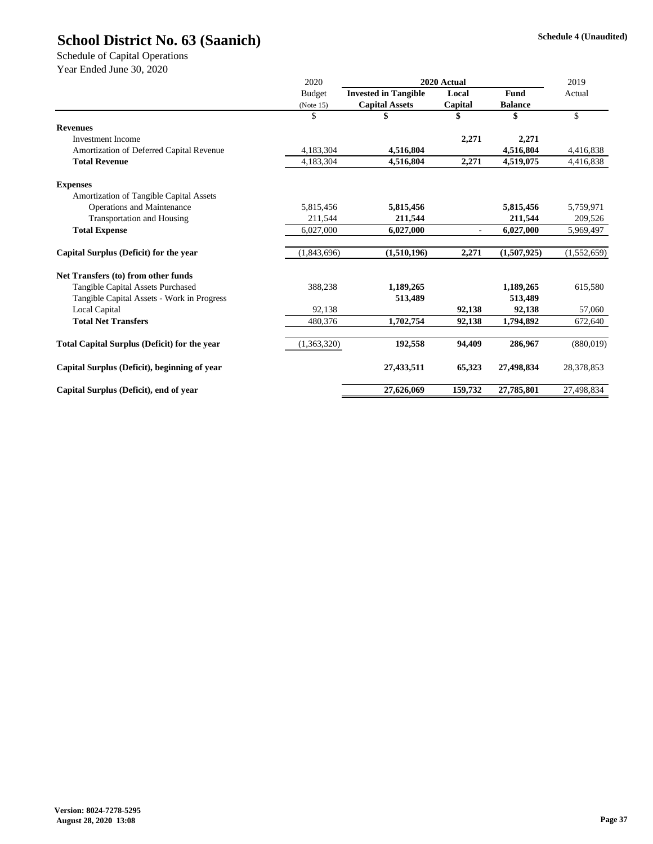|                                                     | 2020          |                             | 2020 Actual |                | 2019        |  |
|-----------------------------------------------------|---------------|-----------------------------|-------------|----------------|-------------|--|
|                                                     | <b>Budget</b> | <b>Invested in Tangible</b> | Local       | Fund           | Actual      |  |
|                                                     | (Note 15)     | <b>Capital Assets</b>       | Capital     | <b>Balance</b> |             |  |
|                                                     | \$            | \$                          | \$          |                | \$          |  |
| <b>Revenues</b>                                     |               |                             |             |                |             |  |
| <b>Investment Income</b>                            |               |                             | 2,271       | 2,271          |             |  |
| Amortization of Deferred Capital Revenue            | 4,183,304     | 4,516,804                   |             | 4,516,804      | 4,416,838   |  |
| <b>Total Revenue</b>                                | 4,183,304     | 4,516,804                   | 2,271       | 4,519,075      | 4,416,838   |  |
| <b>Expenses</b>                                     |               |                             |             |                |             |  |
| Amortization of Tangible Capital Assets             |               |                             |             |                |             |  |
| Operations and Maintenance                          | 5,815,456     | 5,815,456                   |             | 5,815,456      | 5,759,971   |  |
| <b>Transportation and Housing</b>                   | 211.544       | 211,544                     |             | 211,544        | 209,526     |  |
| <b>Total Expense</b>                                | 6,027,000     | 6,027,000                   |             | 6,027,000      | 5,969,497   |  |
| Capital Surplus (Deficit) for the year              | (1,843,696)   | (1,510,196)                 | 2,271       | (1,507,925)    | (1,552,659) |  |
| Net Transfers (to) from other funds                 |               |                             |             |                |             |  |
| Tangible Capital Assets Purchased                   | 388,238       | 1,189,265                   |             | 1,189,265      | 615,580     |  |
| Tangible Capital Assets - Work in Progress          |               | 513,489                     |             | 513,489        |             |  |
| Local Capital                                       | 92.138        |                             | 92,138      | 92,138         | 57,060      |  |
| <b>Total Net Transfers</b>                          | 480,376       | 1,702,754                   | 92,138      | 1,794,892      | 672,640     |  |
| <b>Total Capital Surplus (Deficit) for the year</b> | (1,363,320)   | 192,558                     | 94.409      | 286,967        | (880,019)   |  |
| Capital Surplus (Deficit), beginning of year        |               | 27,433,511                  | 65,323      | 27,498,834     | 28,378,853  |  |
| Capital Surplus (Deficit), end of year              |               | 27,626,069                  | 159,732     | 27,785,801     | 27,498,834  |  |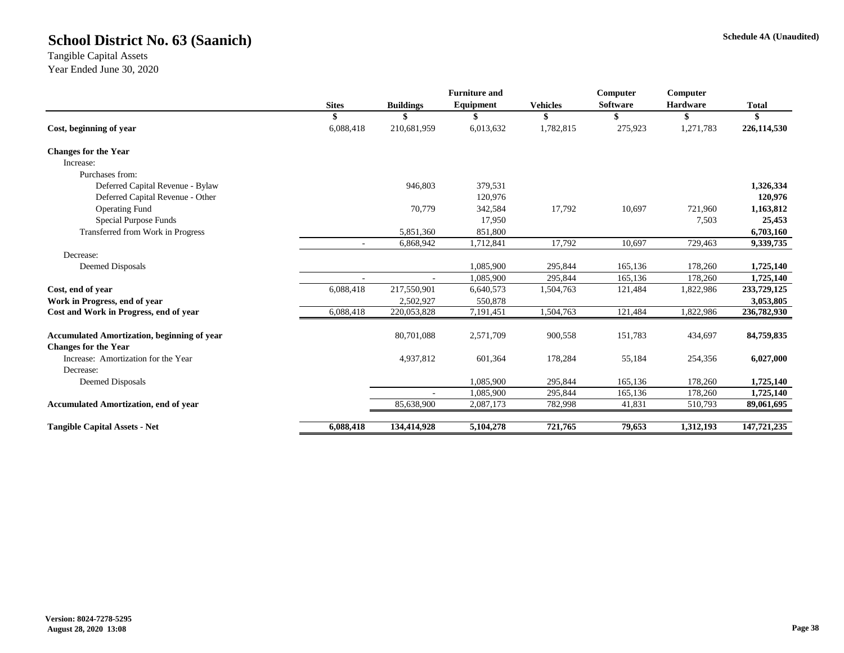Tangible Capital Assets Year Ended June 30, 2020

|                                                                                   |              |                  | <b>Furniture and</b> |                 | Computer        | Computer        |              |
|-----------------------------------------------------------------------------------|--------------|------------------|----------------------|-----------------|-----------------|-----------------|--------------|
|                                                                                   | <b>Sites</b> | <b>Buildings</b> | Equipment            | <b>Vehicles</b> | <b>Software</b> | <b>Hardware</b> | <b>Total</b> |
|                                                                                   |              |                  |                      |                 |                 |                 |              |
| Cost, beginning of year                                                           | 6,088,418    | 210,681,959      | 6,013,632            | 1,782,815       | 275,923         | 1,271,783       | 226,114,530  |
| <b>Changes for the Year</b>                                                       |              |                  |                      |                 |                 |                 |              |
| Increase:                                                                         |              |                  |                      |                 |                 |                 |              |
| Purchases from:                                                                   |              |                  |                      |                 |                 |                 |              |
| Deferred Capital Revenue - Bylaw                                                  |              | 946,803          | 379,531              |                 |                 |                 | 1,326,334    |
| Deferred Capital Revenue - Other                                                  |              |                  | 120,976              |                 |                 |                 | 120,976      |
| <b>Operating Fund</b>                                                             |              | 70,779           | 342,584              | 17,792          | 10,697          | 721,960         | 1,163,812    |
| Special Purpose Funds                                                             |              |                  | 17,950               |                 |                 | 7,503           | 25,453       |
| Transferred from Work in Progress                                                 |              | 5,851,360        | 851,800              |                 |                 |                 | 6,703,160    |
|                                                                                   | $\sim$       | 6,868,942        | 1,712,841            | 17,792          | 10,697          | 729,463         | 9,339,735    |
| Decrease:                                                                         |              |                  |                      |                 |                 |                 |              |
| Deemed Disposals                                                                  |              |                  | 1,085,900            | 295,844         | 165,136         | 178,260         | 1,725,140    |
|                                                                                   |              | $\sim$           | 1,085,900            | 295,844         | 165,136         | 178,260         | 1,725,140    |
| Cost, end of year                                                                 | 6,088,418    | 217,550,901      | 6,640,573            | 1,504,763       | 121,484         | 1,822,986       | 233,729,125  |
| Work in Progress, end of year                                                     |              | 2,502,927        | 550,878              |                 |                 |                 | 3,053,805    |
| Cost and Work in Progress, end of year                                            | 6,088,418    | 220,053,828      | 7,191,451            | 1,504,763       | 121,484         | 1,822,986       | 236,782,930  |
| <b>Accumulated Amortization, beginning of year</b><br><b>Changes for the Year</b> |              | 80,701,088       | 2,571,709            | 900,558         | 151,783         | 434,697         | 84,759,835   |
| Increase: Amortization for the Year<br>Decrease:                                  |              | 4,937,812        | 601,364              | 178,284         | 55,184          | 254,356         | 6,027,000    |
| Deemed Disposals                                                                  |              |                  | 1,085,900            | 295,844         | 165,136         | 178,260         | 1,725,140    |
|                                                                                   |              |                  | 1,085,900            | 295,844         | 165,136         | 178,260         | 1,725,140    |
| <b>Accumulated Amortization, end of year</b>                                      |              | 85,638,900       | 2,087,173            | 782,998         | 41,831          | 510,793         | 89,061,695   |
|                                                                                   |              |                  |                      |                 |                 |                 |              |
| <b>Tangible Capital Assets - Net</b>                                              | 6,088,418    | 134,414,928      | 5,104,278            | 721,765         | 79,653          | 1,312,193       | 147,721,235  |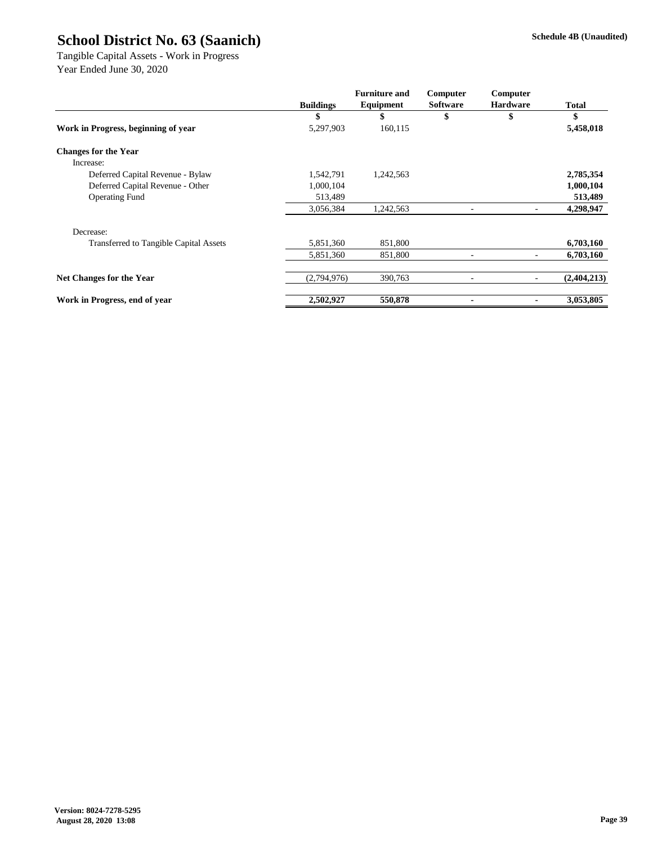Tangible Capital Assets - Work in Progress Year Ended June 30, 2020

|                                               |                  | <b>Furniture and</b> | Computer                 | Computer        |              |
|-----------------------------------------------|------------------|----------------------|--------------------------|-----------------|--------------|
|                                               | <b>Buildings</b> | Equipment            | <b>Software</b>          | <b>Hardware</b> | <b>Total</b> |
|                                               | \$               | \$                   | \$                       | \$              | \$           |
| Work in Progress, beginning of year           | 5,297,903        | 160,115              |                          |                 | 5,458,018    |
| <b>Changes for the Year</b>                   |                  |                      |                          |                 |              |
| Increase:                                     |                  |                      |                          |                 |              |
| Deferred Capital Revenue - Bylaw              | 1,542,791        | 1,242,563            |                          |                 | 2,785,354    |
| Deferred Capital Revenue - Other              | 1,000,104        |                      |                          |                 | 1,000,104    |
| <b>Operating Fund</b>                         | 513,489          |                      |                          |                 | 513,489      |
|                                               | 3,056,384        | 1,242,563            | ٠                        |                 | 4,298,947    |
| Decrease:                                     |                  |                      |                          |                 |              |
| <b>Transferred to Tangible Capital Assets</b> | 5,851,360        | 851,800              |                          |                 | 6,703,160    |
|                                               | 5,851,360        | 851,800              | $\overline{\phantom{a}}$ |                 | 6,703,160    |
| Net Changes for the Year                      | (2,794,976)      | 390,763              | ٠                        |                 | (2,404,213)  |
| Work in Progress, end of year                 | 2,502,927        | 550,878              | ٠                        |                 | 3,053,805    |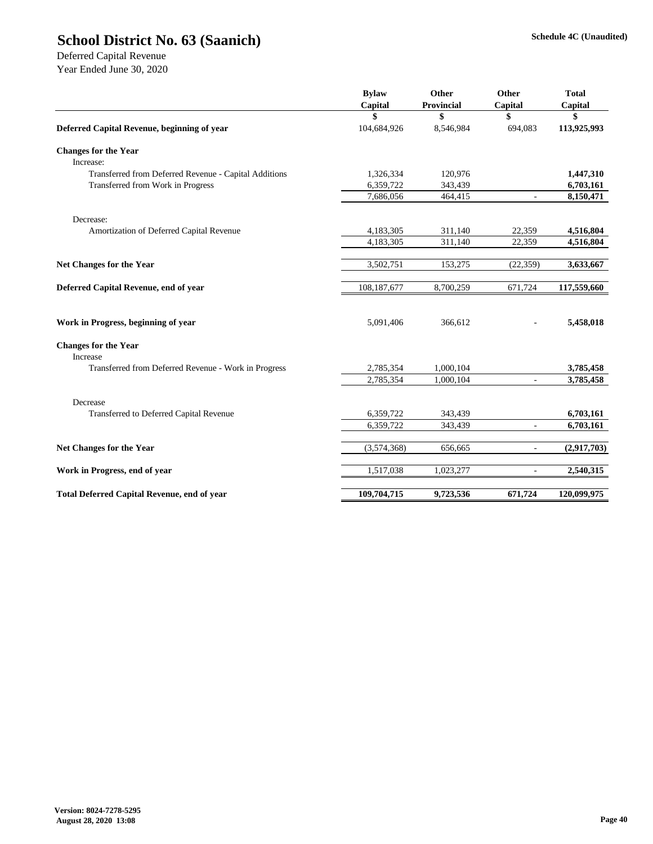| Capital<br>104,684,926<br>1,326,334<br>6,359,722<br>7,686,056 | <b>Provincial</b><br>\$<br>8,546,984<br>120,976<br>343,439<br>464,415 | Capital<br>\$<br>694,083<br>$\overline{\phantom{a}}$ | Capital<br>\$<br>113,925,993<br>1,447,310<br>6,703,161<br>8,150,471 |
|---------------------------------------------------------------|-----------------------------------------------------------------------|------------------------------------------------------|---------------------------------------------------------------------|
|                                                               |                                                                       |                                                      |                                                                     |
|                                                               |                                                                       |                                                      |                                                                     |
|                                                               |                                                                       |                                                      |                                                                     |
|                                                               |                                                                       |                                                      |                                                                     |
|                                                               |                                                                       |                                                      |                                                                     |
|                                                               |                                                                       |                                                      |                                                                     |
|                                                               |                                                                       |                                                      |                                                                     |
|                                                               |                                                                       |                                                      |                                                                     |
|                                                               |                                                                       |                                                      |                                                                     |
|                                                               | 311,140                                                               | 22,359                                               | 4,516,804                                                           |
|                                                               | 311,140                                                               | 22.359                                               | 4,516,804                                                           |
| 3,502,751                                                     | 153,275                                                               | (22, 359)                                            | 3,633,667                                                           |
| 108, 187, 677                                                 | 8,700,259                                                             | 671,724                                              | 117,559,660                                                         |
| 5,091,406                                                     | 366,612                                                               |                                                      | 5,458,018                                                           |
|                                                               |                                                                       |                                                      |                                                                     |
|                                                               |                                                                       |                                                      |                                                                     |
| 2,785,354                                                     | 1,000,104                                                             |                                                      | 3,785,458                                                           |
| 2,785,354                                                     | 1,000,104                                                             | $\overline{\phantom{a}}$                             | 3,785,458                                                           |
|                                                               |                                                                       |                                                      |                                                                     |
| 6,359,722                                                     | 343,439                                                               |                                                      | 6,703,161                                                           |
| 6,359,722                                                     | 343,439                                                               | $\sim$                                               | 6,703,161                                                           |
| (3,574,368)                                                   | 656,665                                                               | $\overline{\phantom{a}}$                             | (2,917,703)                                                         |
| 1,517,038                                                     | 1,023,277                                                             | ÷,                                                   | $\overline{2,540,315}$                                              |
|                                                               | 9,723,536                                                             | 671,724                                              | 120,099,975                                                         |
|                                                               | 4,183,305<br>4,183,305<br>109,704,715                                 |                                                      |                                                                     |